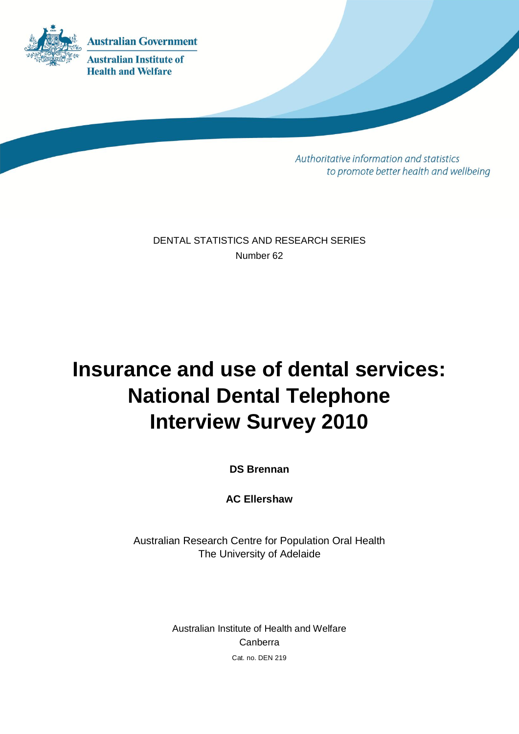

Authoritative information and statistics to promote better health and wellbeing

DENTAL STATISTICS AND RESEARCH SERIES Number 62

# **Insurance and use of dental services: National Dental Telephone Interview Survey 2010**

**DS Brennan**

**AC Ellershaw**

Australian Research Centre for Population Oral Health The University of Adelaide

> Australian Institute of Health and Welfare Canberra Cat. no. DEN 219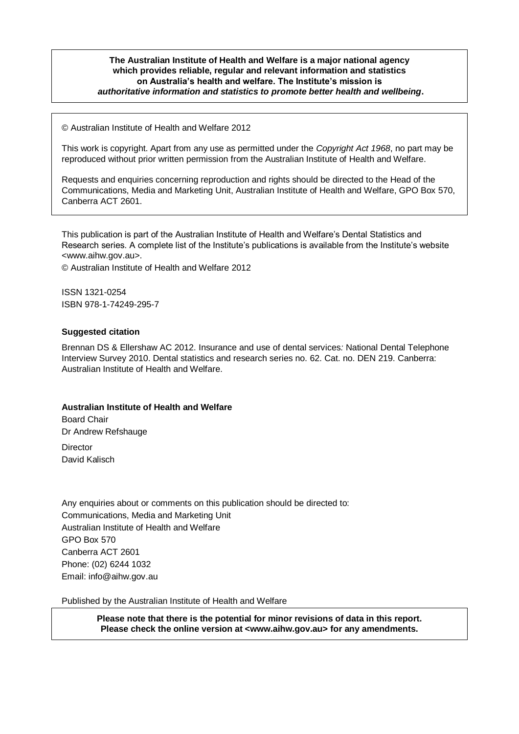#### **The Australian Institute of Health and Welfare is a major national agency which provides reliable, regular and relevant information and statistics on Australia's health and welfare. The Institute's mission is** *authoritative information and statistics to promote better health and wellbeing***.**

© Australian Institute of Health and Welfare 2012

This work is copyright. Apart from any use as permitted under the *Copyright Act 1968*, no part may be reproduced without prior written permission from the Australian Institute of Health and Welfare.

Requests and enquiries concerning reproduction and rights should be directed to the Head of the Communications, Media and Marketing Unit, Australian Institute of Health and Welfare, GPO Box 570, Canberra ACT 2601.

This publication is part of the Australian Institute of Health and Welfare's Dental Statistics and Research series. A complete list of the Institute's publications is available from the Institute's website <www.aihw.gov.au>.

© Australian Institute of Health and Welfare 2012

ISSN 1321-0254 ISBN 978-1-74249-295-7

#### **Suggested citation**

Brennan DS & Ellershaw AC 2012. Insurance and use of dental services*:* National Dental Telephone Interview Survey 2010. Dental statistics and research series no. 62. Cat. no. DEN 219. Canberra: Australian Institute of Health and Welfare.

#### **Australian Institute of Health and Welfare**

Board Chair Dr Andrew Refshauge **Director** David Kalisch

Any enquiries about or comments on this publication should be directed to: Communications, Media and Marketing Unit Australian Institute of Health and Welfare GPO Box 570 Canberra ACT 2601 Phone: (02) 6244 1032 Email: info@aihw.gov.au

Published by the Australian Institute of Health and Welfare

**Please note that there is the potential for minor revisions of data in this report. Please check the online version at <www.aihw.gov.au> for any amendments.**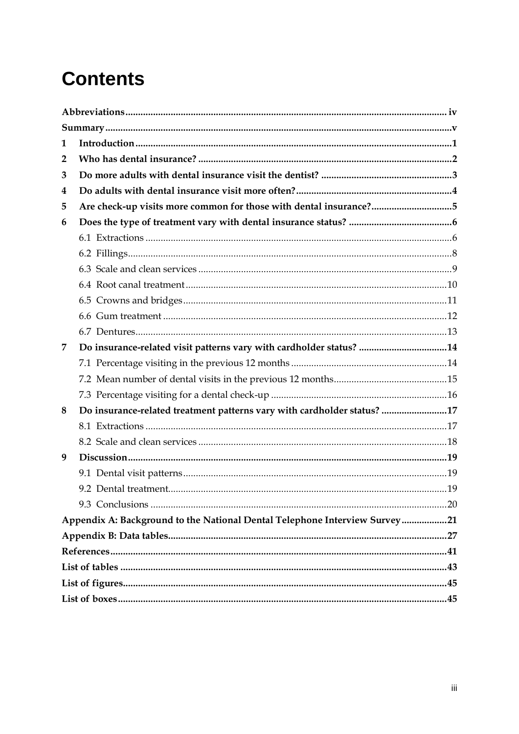# **Contents**

| 1            |                                                                            |  |
|--------------|----------------------------------------------------------------------------|--|
| $\mathbf{2}$ |                                                                            |  |
| 3            |                                                                            |  |
| 4            |                                                                            |  |
| 5            | Are check-up visits more common for those with dental insurance?5          |  |
| 6            |                                                                            |  |
|              |                                                                            |  |
|              |                                                                            |  |
|              |                                                                            |  |
|              |                                                                            |  |
|              |                                                                            |  |
|              |                                                                            |  |
|              |                                                                            |  |
| 7            | Do insurance-related visit patterns vary with cardholder status? 14        |  |
|              |                                                                            |  |
|              |                                                                            |  |
|              |                                                                            |  |
| 8            | Do insurance-related treatment patterns vary with cardholder status? 17    |  |
|              |                                                                            |  |
|              |                                                                            |  |
| 9            |                                                                            |  |
|              |                                                                            |  |
|              |                                                                            |  |
|              |                                                                            |  |
|              | Appendix A: Background to the National Dental Telephone Interview Survey21 |  |
|              |                                                                            |  |
|              |                                                                            |  |
|              |                                                                            |  |
|              |                                                                            |  |
|              |                                                                            |  |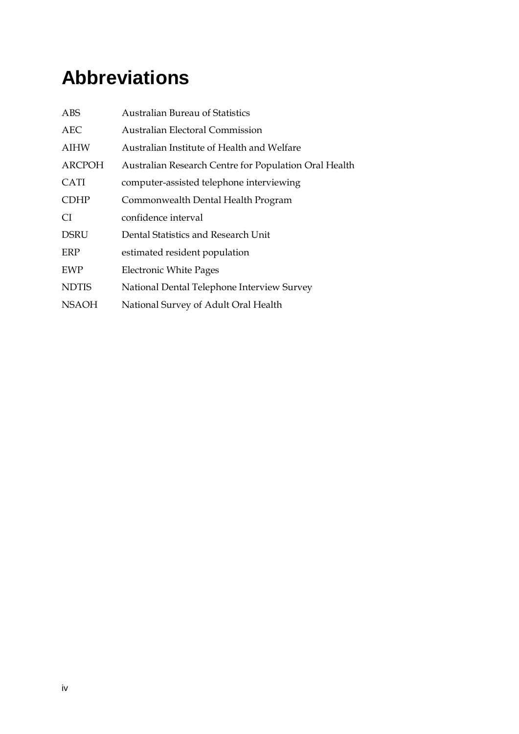# <span id="page-3-0"></span>**Abbreviations**

| <b>ABS</b>    | <b>Australian Bureau of Statistics</b>                |
|---------------|-------------------------------------------------------|
| <b>AEC</b>    | <b>Australian Electoral Commission</b>                |
| <b>AIHW</b>   | Australian Institute of Health and Welfare            |
| <b>ARCPOH</b> | Australian Research Centre for Population Oral Health |
| <b>CATI</b>   | computer-assisted telephone interviewing              |
| <b>CDHP</b>   | Commonwealth Dental Health Program                    |
| CI.           | confidence interval                                   |
| <b>DSRU</b>   | Dental Statistics and Research Unit                   |
| ERP           | estimated resident population                         |
| <b>EWP</b>    | <b>Electronic White Pages</b>                         |
| <b>NDTIS</b>  | National Dental Telephone Interview Survey            |
| <b>NSAOH</b>  | National Survey of Adult Oral Health                  |
|               |                                                       |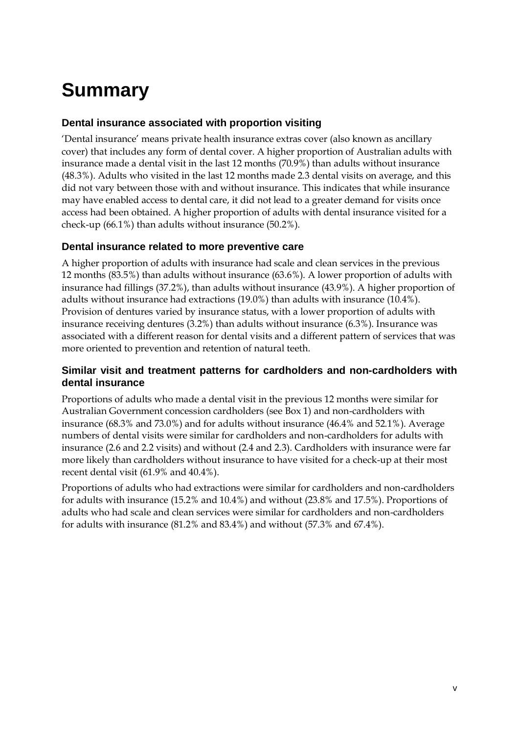# <span id="page-4-0"></span>**Summary**

### **Dental insurance associated with proportion visiting**

'Dental insurance' means private health insurance extras cover (also known as ancillary cover) that includes any form of dental cover. A higher proportion of Australian adults with insurance made a dental visit in the last 12 months (70.9%) than adults without insurance (48.3%). Adults who visited in the last 12 months made 2.3 dental visits on average, and this did not vary between those with and without insurance. This indicates that while insurance may have enabled access to dental care, it did not lead to a greater demand for visits once access had been obtained. A higher proportion of adults with dental insurance visited for a check-up (66.1%) than adults without insurance (50.2%).

### **Dental insurance related to more preventive care**

A higher proportion of adults with insurance had scale and clean services in the previous 12 months (83.5%) than adults without insurance (63.6%). A lower proportion of adults with insurance had fillings (37.2%), than adults without insurance (43.9%). A higher proportion of adults without insurance had extractions (19.0%) than adults with insurance (10.4%). Provision of dentures varied by insurance status, with a lower proportion of adults with insurance receiving dentures (3.2%) than adults without insurance (6.3%). Insurance was associated with a different reason for dental visits and a different pattern of services that was more oriented to prevention and retention of natural teeth.

### **Similar visit and treatment patterns for cardholders and non-cardholders with dental insurance**

Proportions of adults who made a dental visit in the previous 12 months were similar for Australian Government concession cardholders (see Box 1) and non-cardholders with insurance (68.3% and 73.0%) and for adults without insurance (46.4% and 52.1%). Average numbers of dental visits were similar for cardholders and non-cardholders for adults with insurance (2.6 and 2.2 visits) and without (2.4 and 2.3). Cardholders with insurance were far more likely than cardholders without insurance to have visited for a check-up at their most recent dental visit (61.9% and 40.4%).

Proportions of adults who had extractions were similar for cardholders and non-cardholders for adults with insurance (15.2% and 10.4%) and without (23.8% and 17.5%). Proportions of adults who had scale and clean services were similar for cardholders and non-cardholders for adults with insurance (81.2% and 83.4%) and without (57.3% and 67.4%).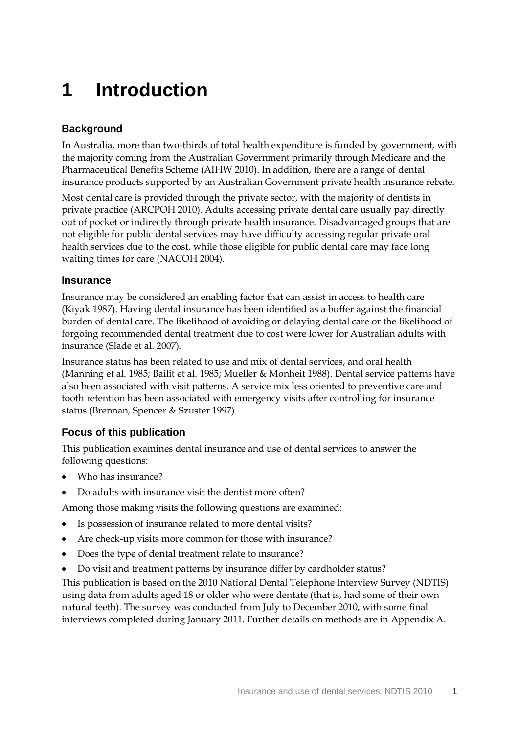## <span id="page-6-0"></span>**1 Introduction**

### **Background**

In Australia, more than two-thirds of total health expenditure is funded by government, with the majority coming from the Australian Government primarily through Medicare and the Pharmaceutical Benefits Scheme (AIHW 2010). In addition, there are a range of dental insurance products supported by an Australian Government private health insurance rebate.

Most dental care is provided through the private sector, with the majority of dentists in private practice (ARCPOH 2010). Adults accessing private dental care usually pay directly out of pocket or indirectly through private health insurance. Disadvantaged groups that are not eligible for public dental services may have difficulty accessing regular private oral health services due to the cost, while those eligible for public dental care may face long waiting times for care (NACOH 2004).

### **Insurance**

Insurance may be considered an enabling factor that can assist in access to health care (Kiyak 1987). Having dental insurance has been identified as a buffer against the financial burden of dental care. The likelihood of avoiding or delaying dental care or the likelihood of forgoing recommended dental treatment due to cost were lower for Australian adults with insurance (Slade et al. 2007).

Insurance status has been related to use and mix of dental services, and oral health (Manning et al. 1985; Bailit et al. 1985; Mueller & Monheit 1988). Dental service patterns have also been associated with visit patterns. A service mix less oriented to preventive care and tooth retention has been associated with emergency visits after controlling for insurance status (Brennan, Spencer & Szuster 1997).

### **Focus of this publication**

This publication examines dental insurance and use of dental services to answer the following questions:

- Who has insurance?
- Do adults with insurance visit the dentist more often?

Among those making visits the following questions are examined:

- Is possession of insurance related to more dental visits?
- Are check-up visits more common for those with insurance?
- Does the type of dental treatment relate to insurance?
- Do visit and treatment patterns by insurance differ by cardholder status?

This publication is based on the 2010 National Dental Telephone Interview Survey (NDTIS) using data from adults aged 18 or older who were dentate (that is, had some of their own natural teeth). The survey was conducted from July to December 2010, with some final interviews completed during January 2011. Further details on methods are in Appendix A.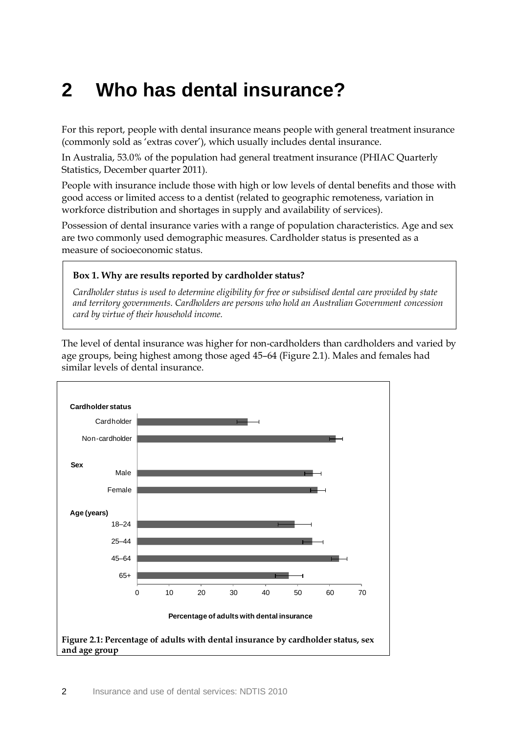## <span id="page-7-0"></span>**2 Who has dental insurance?**

For this report, people with dental insurance means people with general treatment insurance (commonly sold as 'extras cover'), which usually includes dental insurance.

In Australia, 53.0% of the population had general treatment insurance (PHIAC Quarterly Statistics, December quarter 2011).

People with insurance include those with high or low levels of dental benefits and those with good access or limited access to a dentist (related to geographic remoteness, variation in workforce distribution and shortages in supply and availability of services).

Possession of dental insurance varies with a range of population characteristics. Age and sex are two commonly used demographic measures. Cardholder status is presented as a measure of socioeconomic status.

### <span id="page-7-2"></span>**Box 1. Why are results reported by cardholder status?**

*Cardholder status is used to determine eligibility for free or subsidised dental care provided by state and territory governments. Cardholders are persons who hold an Australian Government concession card by virtue of their household income.*

The level of dental insurance was higher for non-cardholders than cardholders and varied by age groups, being highest among those aged 45–64 (Figure 2.1). Males and females had similar levels of dental insurance.

<span id="page-7-1"></span>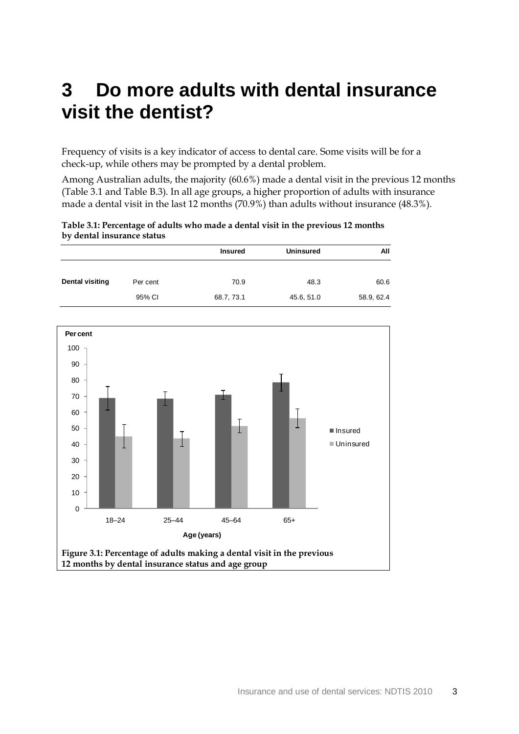## <span id="page-8-0"></span>**3 Do more adults with dental insurance visit the dentist?**

Frequency of visits is a key indicator of access to dental care. Some visits will be for a check-up, while others may be prompted by a dental problem.

Among Australian adults, the majority (60.6%) made a dental visit in the previous 12 months [\(Table 3.1](#page-8-1) and [Table B.3\)](#page-33-0). In all age groups, a higher proportion of adults with insurance made a dental visit in the last 12 months (70.9%) than adults without insurance (48.3%).

<span id="page-8-1"></span>

| Table 3.1: Percentage of adults who made a dental visit in the previous 12 months |  |
|-----------------------------------------------------------------------------------|--|
| by dental insurance status                                                        |  |

|                 |          | <b>Insured</b> | <b>Uninsured</b> | All        |
|-----------------|----------|----------------|------------------|------------|
| Dental visiting | Per cent | 70.9           | 48.3             | 60.6       |
|                 | 95% CI   | 68.7, 73.1     | 45.6, 51.0       | 58.9, 62.4 |

<span id="page-8-2"></span>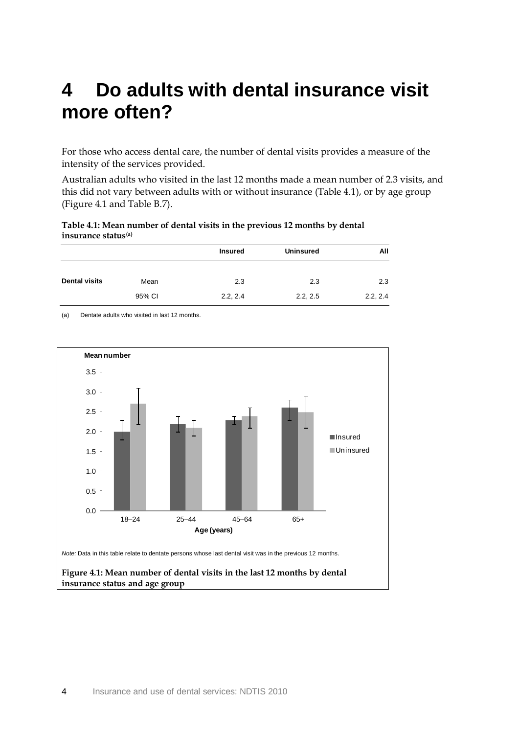## <span id="page-9-0"></span>**4 Do adults with dental insurance visit more often?**

For those who access dental care, the number of dental visits provides a measure of the intensity of the services provided.

Australian adults who visited in the last 12 months made a mean number of 2.3 visits, and this did not vary between adults with or without insurance (Table 4.1), or by age group (Figure 4.1 and Table B.7).

<span id="page-9-1"></span>**Table 4.1: Mean number of dental visits in the previous 12 months by dental insurance status(a)**

|                      |        | <b>Insured</b> | <b>Uninsured</b> | All      |
|----------------------|--------|----------------|------------------|----------|
| <b>Dental visits</b> | Mean   | 2.3            | 2.3              | 2.3      |
|                      | 95% CI | 2.2, 2.4       | 2.2, 2.5         | 2.2, 2.4 |

<span id="page-9-2"></span>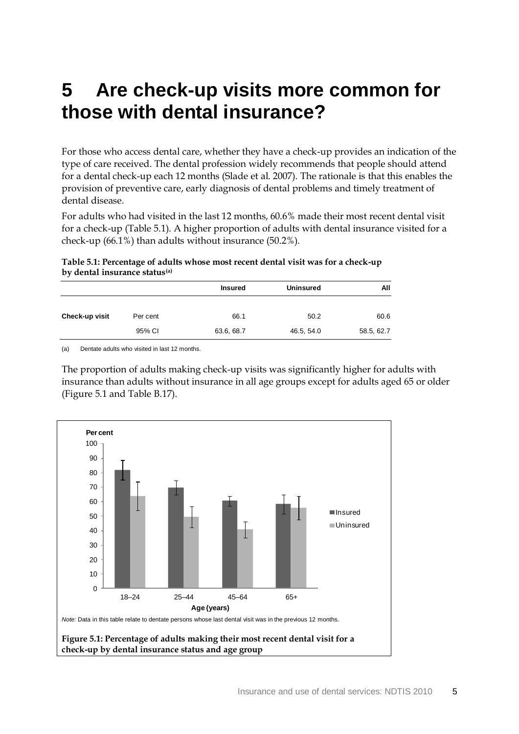## <span id="page-10-0"></span>**5 Are check-up visits more common for those with dental insurance?**

For those who access dental care, whether they have a check-up provides an indication of the type of care received. The dental profession widely recommends that people should attend for a dental check-up each 12 months (Slade et al. 2007). The rationale is that this enables the provision of preventive care, early diagnosis of dental problems and timely treatment of dental disease.

For adults who had visited in the last 12 months, 60.6% made their most recent dental visit for a check-up [\(Table 5.1\)](#page-10-1). A higher proportion of adults with dental insurance visited for a check-up (66.1%) than adults without insurance (50.2%).

<span id="page-10-1"></span>**Table 5.1: Percentage of adults whose most recent dental visit was for a check-up by dental insurance status(a)**

|                |          | <b>Insured</b> | <b>Uninsured</b> | All        |
|----------------|----------|----------------|------------------|------------|
| Check-up visit | Per cent | 66.1           | 50.2             | 60.6       |
|                | 95% CI   | 63.6, 68.7     | 46.5, 54.0       | 58.5, 62.7 |

(a) Dentate adults who visited in last 12 months.

The proportion of adults making check-up visits was significantly higher for adults with insurance than adults without insurance in all age groups except for adults aged 65 or older (Figure 5.1 and [Table B.17\)](#page-41-0).

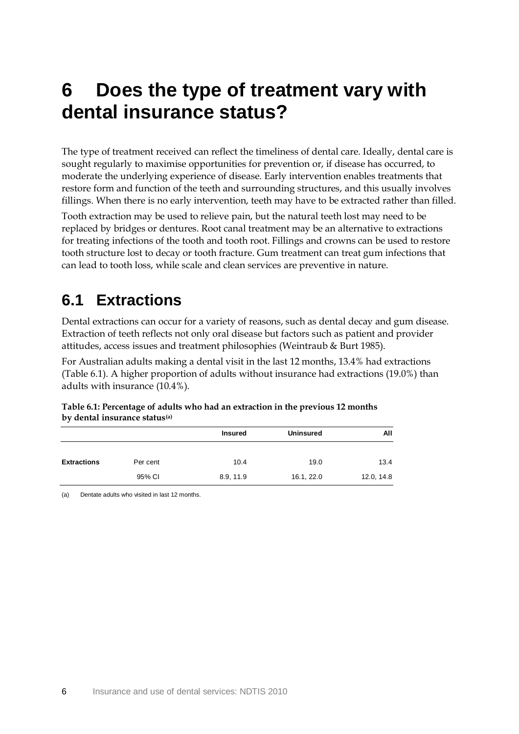## <span id="page-11-0"></span>**6 Does the type of treatment vary with dental insurance status?**

The type of treatment received can reflect the timeliness of dental care. Ideally, dental care is sought regularly to maximise opportunities for prevention or, if disease has occurred, to moderate the underlying experience of disease. Early intervention enables treatments that restore form and function of the teeth and surrounding structures, and this usually involves fillings. When there is no early intervention, teeth may have to be extracted rather than filled.

Tooth extraction may be used to relieve pain, but the natural teeth lost may need to be replaced by bridges or dentures. Root canal treatment may be an alternative to extractions for treating infections of the tooth and tooth root. Fillings and crowns can be used to restore tooth structure lost to decay or tooth fracture. Gum treatment can treat gum infections that can lead to tooth loss, while scale and clean services are preventive in nature.

### <span id="page-11-1"></span>**6.1 Extractions**

Dental extractions can occur for a variety of reasons, such as dental decay and gum disease. Extraction of teeth reflects not only oral disease but factors such as patient and provider attitudes, access issues and treatment philosophies (Weintraub & Burt 1985).

For Australian adults making a dental visit in the last 12 months, 13.4% had extractions [\(Table 6.1\)](#page-11-2). A higher proportion of adults without insurance had extractions (19.0%) than adults with insurance (10.4%).

<span id="page-11-2"></span>

| Table 6.1: Percentage of adults who had an extraction in the previous 12 months |  |
|---------------------------------------------------------------------------------|--|
| by dental insurance status <sup>(a)</sup>                                       |  |

|                    |          | <b>Insured</b> | <b>Uninsured</b> | All        |
|--------------------|----------|----------------|------------------|------------|
|                    |          |                |                  |            |
| <b>Extractions</b> | Per cent | 10.4           | 19.0             | 13.4       |
|                    | 95% CI   | 8.9, 11.9      | 16.1, 22.0       | 12.0, 14.8 |
|                    |          |                |                  |            |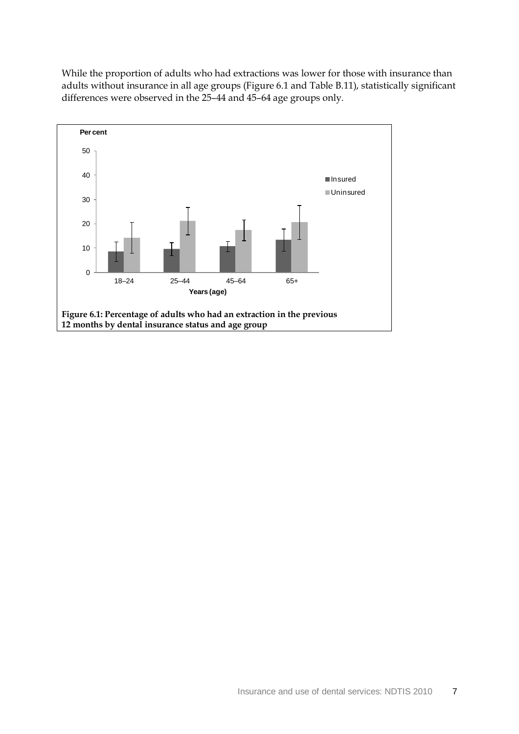While the proportion of adults who had extractions was lower for those with insurance than adults without insurance in all age groups (Figure 6.1 and [Table B.11\)](#page-38-0), statistically significant differences were observed in the 25–44 and 45–64 age groups only.

<span id="page-12-0"></span>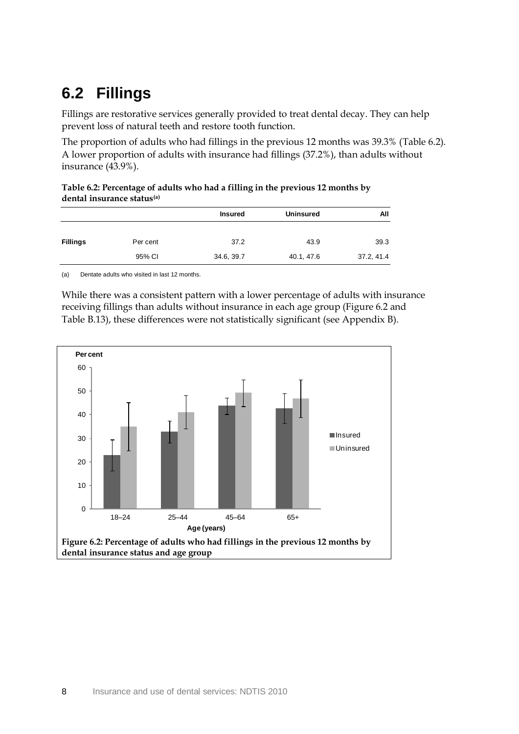### <span id="page-13-0"></span>**6.2 Fillings**

Fillings are restorative services generally provided to treat dental decay. They can help prevent loss of natural teeth and restore tooth function.

The proportion of adults who had fillings in the previous 12 months was 39.3% [\(Table](#page-13-1) 6.2). A lower proportion of adults with insurance had fillings (37.2%), than adults without insurance (43.9%).

<span id="page-13-1"></span>

| Table 6.2: Percentage of adults who had a filling in the previous 12 months by |  |
|--------------------------------------------------------------------------------|--|
| dental insurance status <sup>(a)</sup>                                         |  |

|                 |          | <b>Insured</b> | <b>Uninsured</b> | All        |
|-----------------|----------|----------------|------------------|------------|
| <b>Fillings</b> | Per cent | 37.2           | 43.9             | 39.3       |
|                 | 95% CI   | 34.6, 39.7     | 40.1, 47.6       | 37.2, 41.4 |

(a) Dentate adults who visited in last 12 months.

While there was a consistent pattern with a lower percentage of adults with insurance receiving fillings than adults without insurance in each age group (Figure 6.2 and [Table](#page-39-0) B.13), these differences were not statistically significant (see Appendix B).

<span id="page-13-2"></span>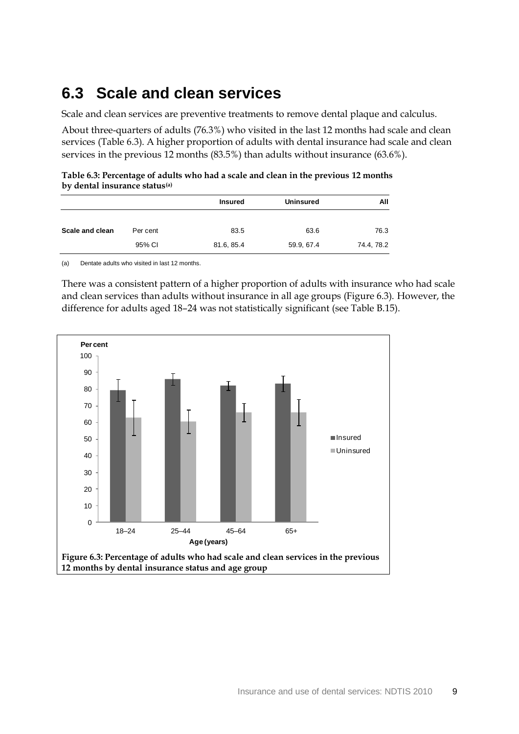### <span id="page-14-0"></span>**6.3 Scale and clean services**

Scale and clean services are preventive treatments to remove dental plaque and calculus.

About three-quarters of adults (76.3%) who visited in the last 12 months had scale and clean services [\(Table 6.3\)](#page-14-1). A higher proportion of adults with dental insurance had scale and clean services in the previous 12 months (83.5%) than adults without insurance (63.6%).

<span id="page-14-1"></span>

| Table 6.3: Percentage of adults who had a scale and clean in the previous 12 months |  |
|-------------------------------------------------------------------------------------|--|
| by dental insurance status <sup>(a)</sup>                                           |  |

|                 |          | <b>Insured</b> | <b>Uninsured</b> | All        |
|-----------------|----------|----------------|------------------|------------|
| Scale and clean | Per cent | 83.5           | 63.6             | 76.3       |
|                 | 95% CI   | 81.6, 85.4     | 59.9, 67.4       | 74.4, 78.2 |

(a) Dentate adults who visited in last 12 months.

There was a consistent pattern of a higher proportion of adults with insurance who had scale and clean services than adults without insurance in all age groups (Figure 6.3). However, the difference for adults aged 18–24 was not statistically significant (see [Table B.15\)](#page-40-0).

<span id="page-14-2"></span>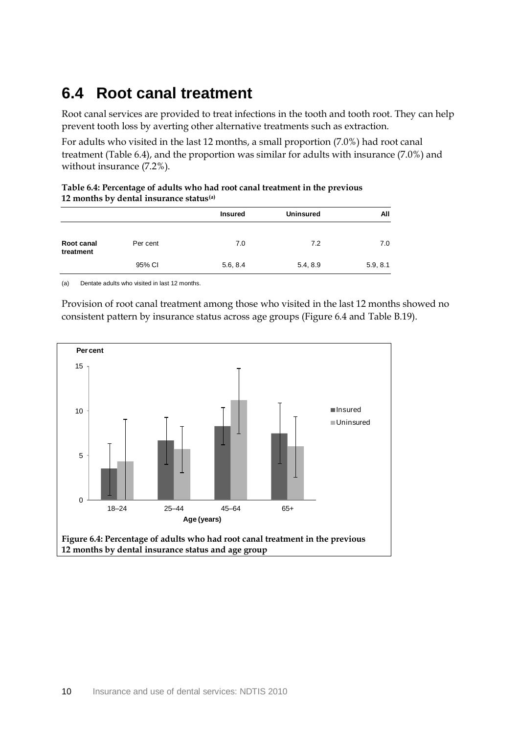### <span id="page-15-0"></span>**6.4 Root canal treatment**

Root canal services are provided to treat infections in the tooth and tooth root. They can help prevent tooth loss by averting other alternative treatments such as extraction.

For adults who visited in the last 12 months, a small proportion (7.0%) had root canal treatment [\(Table 6.4\)](#page-15-1), and the proportion was similar for adults with insurance (7.0%) and without insurance (7.2%).

<span id="page-15-1"></span>

| Table 6.4: Percentage of adults who had root canal treatment in the previous |  |
|------------------------------------------------------------------------------|--|
| 12 months by dental insurance status <sup>(a)</sup>                          |  |

|                         |          | <b>Insured</b> | <b>Uninsured</b> | All      |
|-------------------------|----------|----------------|------------------|----------|
| Root canal<br>treatment | Per cent | 7.0            | 7.2              | 7.0      |
|                         | 95% CI   | 5.6, 8.4       | 5.4, 8.9         | 5.9, 8.1 |

(a) Dentate adults who visited in last 12 months.

Provision of root canal treatment among those who visited in the last 12 months showed no consistent pattern by insurance status across age groups (Figure 6.4 and [Table B.19\)](#page-42-0).

<span id="page-15-2"></span>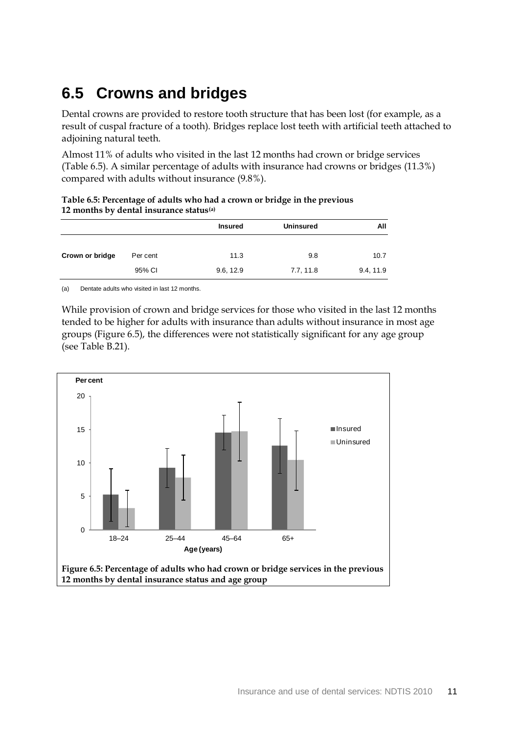### <span id="page-16-0"></span>**6.5 Crowns and bridges**

Dental crowns are provided to restore tooth structure that has been lost (for example, as a result of cuspal fracture of a tooth). Bridges replace lost teeth with artificial teeth attached to adjoining natural teeth.

Almost 11% of adults who visited in the last 12 months had crown or bridge services [\(Table](#page-16-1) 6.5). A similar percentage of adults with insurance had crowns or bridges (11.3%) compared with adults without insurance (9.8%).

<span id="page-16-1"></span>

| Table 6.5: Percentage of adults who had a crown or bridge in the previous |  |  |
|---------------------------------------------------------------------------|--|--|
| 12 months by dental insurance status $(a)$                                |  |  |

|                 |          | <b>Insured</b> | <b>Uninsured</b> | All       |
|-----------------|----------|----------------|------------------|-----------|
| Crown or bridge | Per cent | 11.3           | 9.8              | 10.7      |
|                 | 95% CI   | 9.6, 12.9      | 7.7, 11.8        | 9.4, 11.9 |

(a) Dentate adults who visited in last 12 months.

While provision of crown and bridge services for those who visited in the last 12 months tended to be higher for adults with insurance than adults without insurance in most age groups (Figure 6.5), the differences were not statistically significant for any age group (see [Table B.21\)](#page-43-0).

<span id="page-16-2"></span>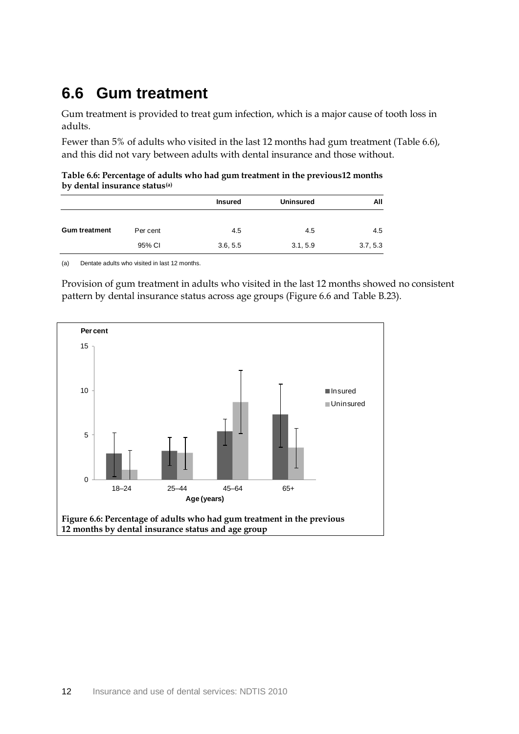### <span id="page-17-0"></span>**6.6 Gum treatment**

Gum treatment is provided to treat gum infection, which is a major cause of tooth loss in adults.

Fewer than 5% of adults who visited in the last 12 months had gum treatment [\(Table 6.6\)](#page-17-1), and this did not vary between adults with dental insurance and those without.

<span id="page-17-1"></span>**Table 6.6: Percentage of adults who had gum treatment in the previous12 months by dental insurance status(a)**

|                      |          | <b>Insured</b> | <b>Uninsured</b> | All      |
|----------------------|----------|----------------|------------------|----------|
| <b>Gum treatment</b> | Per cent | 4.5            | 4.5              | 4.5      |
|                      | 95% CI   | 3.6, 5.5       | 3.1, 5.9         | 3.7, 5.3 |

(a) Dentate adults who visited in last 12 months.

Provision of gum treatment in adults who visited in the last 12 months showed no consistent pattern by dental insurance status across age groups (Figure 6.6 and [Table B.23\)](#page-44-0).

<span id="page-17-2"></span>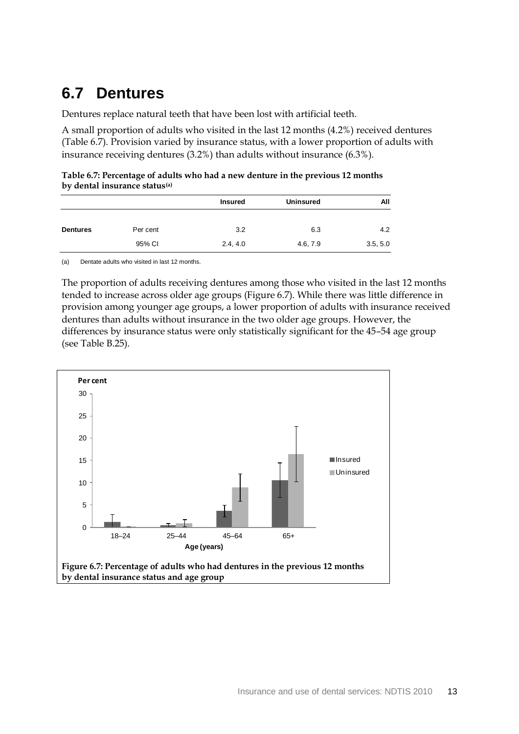### <span id="page-18-0"></span>**6.7 Dentures**

Dentures replace natural teeth that have been lost with artificial teeth.

A small proportion of adults who visited in the last 12 months (4.2%) received dentures [\(Table 6.7\)](#page-18-1). Provision varied by insurance status, with a lower proportion of adults with insurance receiving dentures (3.2%) than adults without insurance (6.3%).

<span id="page-18-1"></span>

| Table 6.7: Percentage of adults who had a new denture in the previous 12 months |  |  |
|---------------------------------------------------------------------------------|--|--|
| by dental insurance status <sup>(a)</sup>                                       |  |  |

|                 |          | <b>Insured</b> | <b>Uninsured</b> | All      |
|-----------------|----------|----------------|------------------|----------|
| <b>Dentures</b> | Per cent | 3.2            | 6.3              | 4.2      |
|                 | 95% CI   | 2.4, 4.0       | 4.6, 7.9         | 3.5, 5.0 |

(a) Dentate adults who visited in last 12 months.

The proportion of adults receiving dentures among those who visited in the last 12 months tended to increase across older age groups (Figure 6.7). While there was little difference in provision among younger age groups, a lower proportion of adults with insurance received dentures than adults without insurance in the two older age groups. However, the differences by insurance status were only statistically significant for the 45–54 age group (see [Table B.25\)](#page-45-0).

<span id="page-18-2"></span>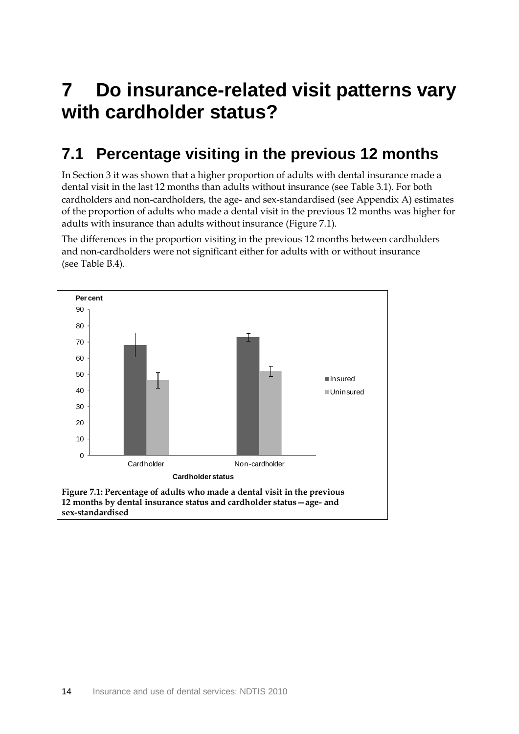## <span id="page-19-0"></span>**7 Do insurance-related visit patterns vary with cardholder status?**

### <span id="page-19-1"></span>**7.1 Percentage visiting in the previous 12 months**

In Section 3 it was shown that a higher proportion of adults with dental insurance made a dental visit in the last 12 months than adults without insurance (see [Table 3.1\)](#page-8-1). For both cardholders and non-cardholders, the age- and sex-standardised (see Appendix A) estimates of the proportion of adults who made a dental visit in the previous 12 months was higher for adults with insurance than adults without insurance (Figure 7.1).

<span id="page-19-2"></span>The differences in the proportion visiting in the previous 12 months between cardholders and non-cardholders were not significant either for adults with or without insurance (see [Table B.4\)](#page-33-1).

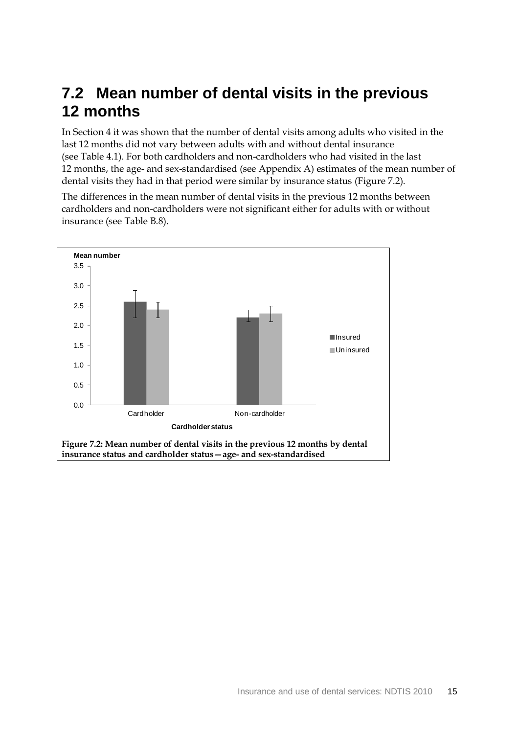### <span id="page-20-0"></span>**7.2 Mean number of dental visits in the previous 12 months**

In Section 4 it was shown that the number of dental visits among adults who visited in the last 12 months did not vary between adults with and without dental insurance (see [Table 4.1\)](#page-9-1). For both cardholders and non-cardholders who had visited in the last 12 months, the age- and sex-standardised (see Appendix A) estimates of the mean number of dental visits they had in that period were similar by insurance status (Figure 7.2).

The differences in the mean number of dental visits in the previous 12 months between cardholders and non-cardholders were not significant either for adults with or without insurance (see [Table B.8\)](#page-36-0).

<span id="page-20-1"></span>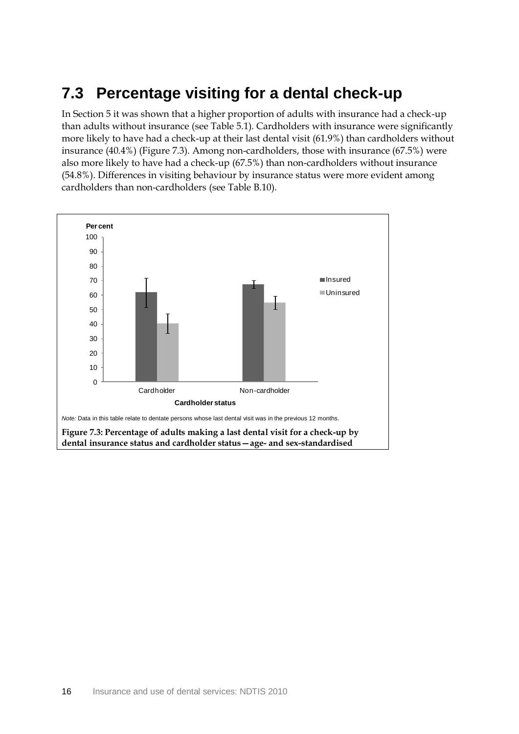### <span id="page-21-0"></span>**7.3 Percentage visiting for a dental check-up**

In Section 5 it was shown that a higher proportion of adults with insurance had a check-up than adults without insurance (se[e Table 5.1\)](#page-10-1). Cardholders with insurance were significantly more likely to have had a check-up at their last dental visit (61.9%) than cardholders without insurance (40.4%) (Figure 7.3). Among non-cardholders, those with insurance (67.5%) were also more likely to have had a check-up (67.5%) than non-cardholders without insurance (54.8%). Differences in visiting behaviour by insurance status were more evident among cardholders than non-cardholders (see [Table B.10\)](#page-37-0).

<span id="page-21-1"></span>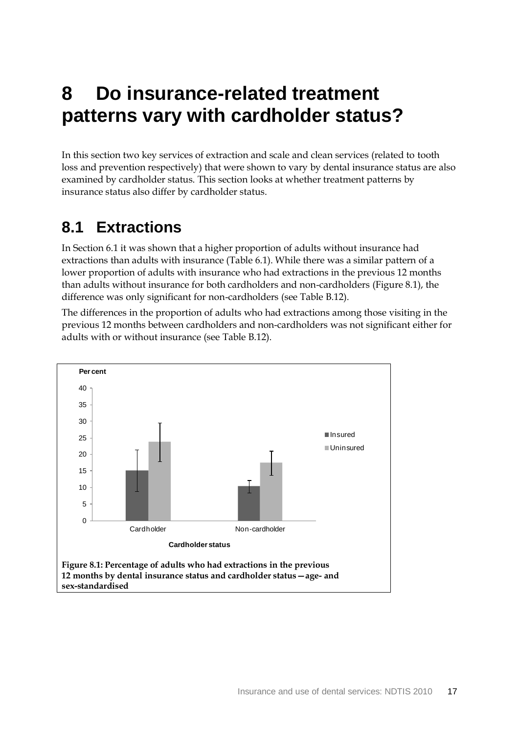## <span id="page-22-0"></span>**8 Do insurance-related treatment patterns vary with cardholder status?**

In this section two key services of extraction and scale and clean services (related to tooth loss and prevention respectively) that were shown to vary by dental insurance status are also examined by cardholder status. This section looks at whether treatment patterns by insurance status also differ by cardholder status.

### <span id="page-22-1"></span>**8.1 Extractions**

In Section 6.1 it was shown that a higher proportion of adults without insurance had extractions than adults with insurance [\(Table 6.1\)](#page-11-2). While there was a similar pattern of a lower proportion of adults with insurance who had extractions in the previous 12 months than adults without insurance for both cardholders and non-cardholders (Figure 8.1), the difference was only significant for non-cardholders (see [Table B.12\)](#page-38-1).

<span id="page-22-2"></span>The differences in the proportion of adults who had extractions among those visiting in the previous 12 months between cardholders and non-cardholders was not significant either for adults with or without insurance (see [Table B.12\)](#page-38-1).

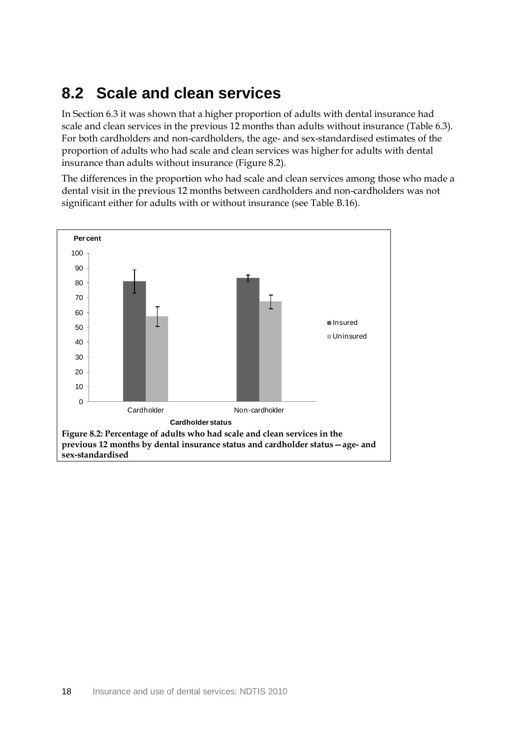### <span id="page-23-0"></span>**8.2 Scale and clean services**

In Section 6.3 it was shown that a higher proportion of adults with dental insurance had scale and clean services in the previous 12 months than adults without insurance [\(Table 6.3\)](#page-14-1). For both cardholders and non-cardholders, the age- and sex-standardised estimates of the proportion of adults who had scale and clean services was higher for adults with dental insurance than adults without insurance (Figure 8.2).

The differences in the proportion who had scale and clean services among those who made a dental visit in the previous 12 months between cardholders and non-cardholders was not significant either for adults with or without insurance (see [Table B.16\)](#page-40-1).

<span id="page-23-1"></span>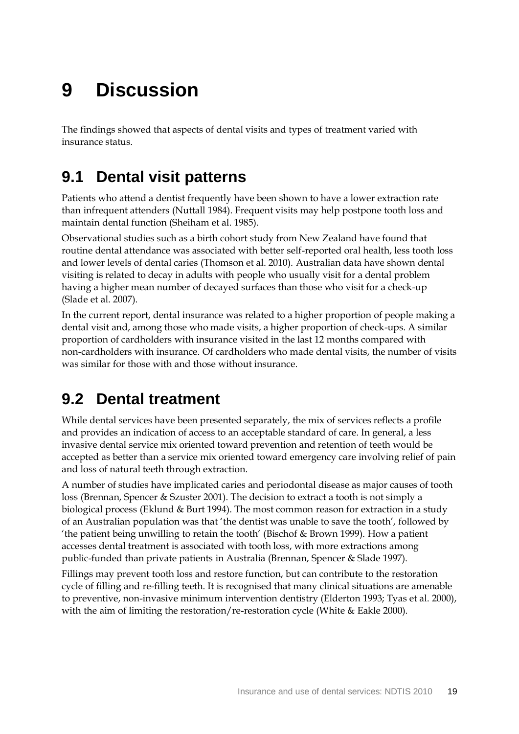# <span id="page-24-0"></span>**9 Discussion**

The findings showed that aspects of dental visits and types of treatment varied with insurance status.

### <span id="page-24-1"></span>**9.1 Dental visit patterns**

Patients who attend a dentist frequently have been shown to have a lower extraction rate than infrequent attenders (Nuttall 1984). Frequent visits may help postpone tooth loss and maintain dental function (Sheiham et al. 1985).

Observational studies such as a birth cohort study from New Zealand have found that routine dental attendance was associated with better self-reported oral health, less tooth loss and lower levels of dental caries (Thomson et al. 2010). Australian data have shown dental visiting is related to decay in adults with people who usually visit for a dental problem having a higher mean number of decayed surfaces than those who visit for a check-up (Slade et al. 2007).

In the current report, dental insurance was related to a higher proportion of people making a dental visit and, among those who made visits, a higher proportion of check-ups. A similar proportion of cardholders with insurance visited in the last 12 months compared with non-cardholders with insurance. Of cardholders who made dental visits, the number of visits was similar for those with and those without insurance.

### <span id="page-24-2"></span>**9.2 Dental treatment**

While dental services have been presented separately, the mix of services reflects a profile and provides an indication of access to an acceptable standard of care. In general, a less invasive dental service mix oriented toward prevention and retention of teeth would be accepted as better than a service mix oriented toward emergency care involving relief of pain and loss of natural teeth through extraction.

A number of studies have implicated caries and periodontal disease as major causes of tooth loss (Brennan, Spencer & Szuster 2001). The decision to extract a tooth is not simply a biological process (Eklund & Burt 1994). The most common reason for extraction in a study of an Australian population was that 'the dentist was unable to save the tooth', followed by 'the patient being unwilling to retain the tooth' (Bischof & Brown 1999). How a patient accesses dental treatment is associated with tooth loss, with more extractions among public-funded than private patients in Australia (Brennan, Spencer & Slade 1997).

Fillings may prevent tooth loss and restore function, but can contribute to the restoration cycle of filling and re-filling teeth. It is recognised that many clinical situations are amenable to preventive, non-invasive minimum intervention dentistry (Elderton 1993; Tyas et al. 2000), with the aim of limiting the restoration/re-restoration cycle (White & Eakle 2000).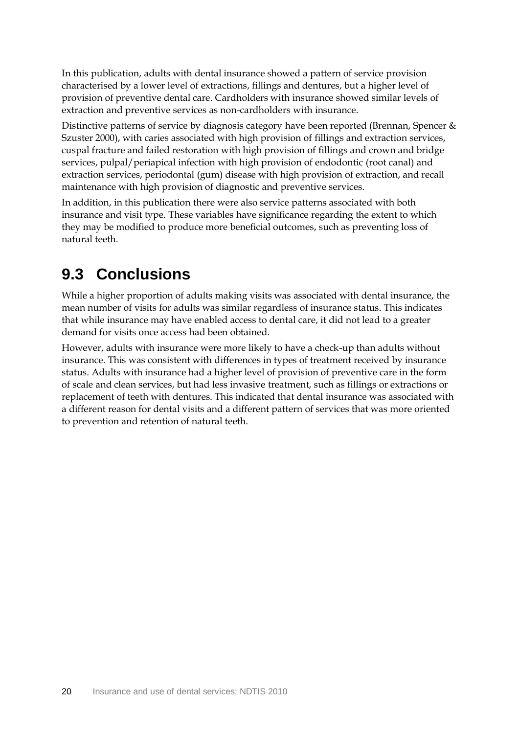In this publication, adults with dental insurance showed a pattern of service provision characterised by a lower level of extractions, fillings and dentures, but a higher level of provision of preventive dental care. Cardholders with insurance showed similar levels of extraction and preventive services as non-cardholders with insurance.

Distinctive patterns of service by diagnosis category have been reported (Brennan, Spencer & Szuster 2000), with caries associated with high provision of fillings and extraction services, cuspal fracture and failed restoration with high provision of fillings and crown and bridge services, pulpal/periapical infection with high provision of endodontic (root canal) and extraction services, periodontal (gum) disease with high provision of extraction, and recall maintenance with high provision of diagnostic and preventive services.

In addition, in this publication there were also service patterns associated with both insurance and visit type. These variables have significance regarding the extent to which they may be modified to produce more beneficial outcomes, such as preventing loss of natural teeth.

### <span id="page-25-0"></span>**9.3 Conclusions**

While a higher proportion of adults making visits was associated with dental insurance, the mean number of visits for adults was similar regardless of insurance status. This indicates that while insurance may have enabled access to dental care, it did not lead to a greater demand for visits once access had been obtained.

However, adults with insurance were more likely to have a check-up than adults without insurance. This was consistent with differences in types of treatment received by insurance status. Adults with insurance had a higher level of provision of preventive care in the form of scale and clean services, but had less invasive treatment, such as fillings or extractions or replacement of teeth with dentures. This indicated that dental insurance was associated with a different reason for dental visits and a different pattern of services that was more oriented to prevention and retention of natural teeth.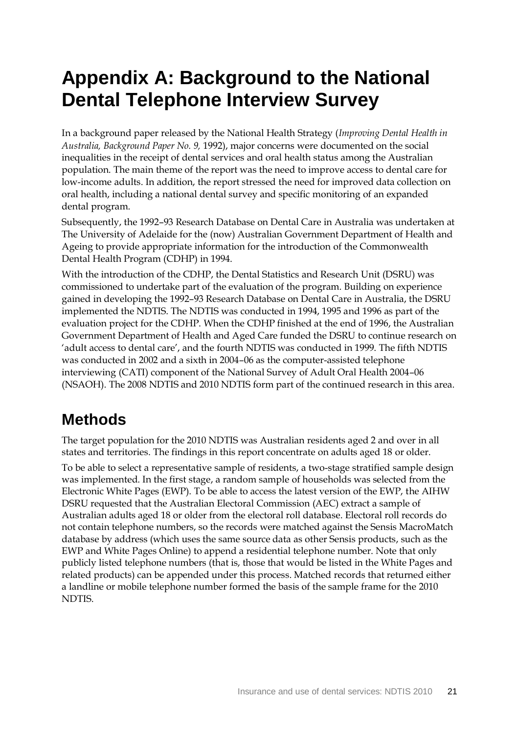## <span id="page-26-0"></span>**Appendix A: Background to the National Dental Telephone Interview Survey**

In a background paper released by the National Health Strategy (*Improving Dental Health in Australia, Background Paper No. 9,* 1992), major concerns were documented on the social inequalities in the receipt of dental services and oral health status among the Australian population. The main theme of the report was the need to improve access to dental care for low-income adults. In addition, the report stressed the need for improved data collection on oral health, including a national dental survey and specific monitoring of an expanded dental program.

Subsequently, the 1992–93 Research Database on Dental Care in Australia was undertaken at The University of Adelaide for the (now) Australian Government Department of Health and Ageing to provide appropriate information for the introduction of the Commonwealth Dental Health Program (CDHP) in 1994.

With the introduction of the CDHP, the Dental Statistics and Research Unit (DSRU) was commissioned to undertake part of the evaluation of the program. Building on experience gained in developing the 1992–93 Research Database on Dental Care in Australia, the DSRU implemented the NDTIS. The NDTIS was conducted in 1994, 1995 and 1996 as part of the evaluation project for the CDHP. When the CDHP finished at the end of 1996, the Australian Government Department of Health and Aged Care funded the DSRU to continue research on 'adult access to dental care', and the fourth NDTIS was conducted in 1999. The fifth NDTIS was conducted in 2002 and a sixth in 2004–06 as the computer-assisted telephone interviewing (CATI) component of the National Survey of Adult Oral Health 2004–06 (NSAOH). The 2008 NDTIS and 2010 NDTIS form part of the continued research in this area.

### **Methods**

The target population for the 2010 NDTIS was Australian residents aged 2 and over in all states and territories. The findings in this report concentrate on adults aged 18 or older.

To be able to select a representative sample of residents, a two-stage stratified sample design was implemented. In the first stage, a random sample of households was selected from the Electronic White Pages (EWP). To be able to access the latest version of the EWP, the AIHW DSRU requested that the Australian Electoral Commission (AEC) extract a sample of Australian adults aged 18 or older from the electoral roll database. Electoral roll records do not contain telephone numbers, so the records were matched against the Sensis MacroMatch database by address (which uses the same source data as other Sensis products, such as the EWP and White Pages Online) to append a residential telephone number. Note that only publicly listed telephone numbers (that is, those that would be listed in the White Pages and related products) can be appended under this process. Matched records that returned either a landline or mobile telephone number formed the basis of the sample frame for the 2010 NDTIS.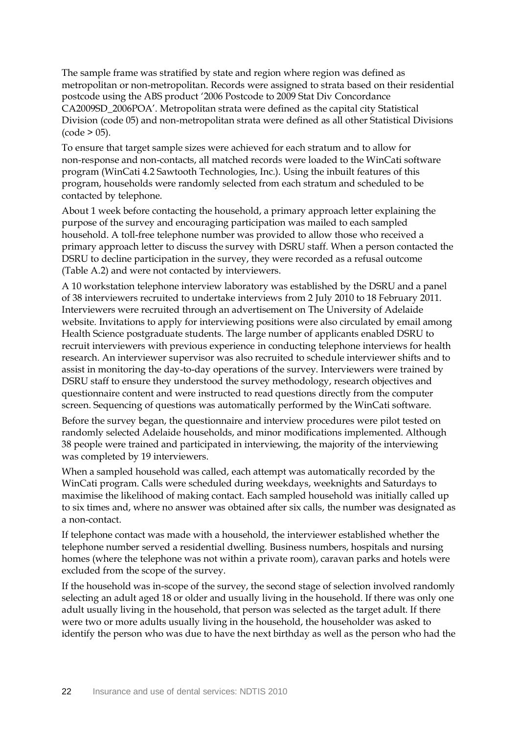The sample frame was stratified by state and region where region was defined as metropolitan or non-metropolitan. Records were assigned to strata based on their residential postcode using the ABS product '2006 Postcode to 2009 Stat Div Concordance CA2009SD\_2006POA'. Metropolitan strata were defined as the capital city Statistical Division (code 05) and non-metropolitan strata were defined as all other Statistical Divisions  $(code > 05)$ .

To ensure that target sample sizes were achieved for each stratum and to allow for non-response and non-contacts, all matched records were loaded to the WinCati software program (WinCati 4.2 Sawtooth Technologies, Inc.). Using the inbuilt features of this program, households were randomly selected from each stratum and scheduled to be contacted by telephone.

About 1 week before contacting the household, a primary approach letter explaining the purpose of the survey and encouraging participation was mailed to each sampled household. A toll-free telephone number was provided to allow those who received a primary approach letter to discuss the survey with DSRU staff. When a person contacted the DSRU to decline participation in the survey, they were recorded as a refusal outcome [\(Table A.2\)](#page-30-0) and were not contacted by interviewers.

A 10 workstation telephone interview laboratory was established by the DSRU and a panel of 38 interviewers recruited to undertake interviews from 2 July 2010 to 18 February 2011. Interviewers were recruited through an advertisement on The University of Adelaide website. Invitations to apply for interviewing positions were also circulated by email among Health Science postgraduate students. The large number of applicants enabled DSRU to recruit interviewers with previous experience in conducting telephone interviews for health research. An interviewer supervisor was also recruited to schedule interviewer shifts and to assist in monitoring the day-to-day operations of the survey. Interviewers were trained by DSRU staff to ensure they understood the survey methodology, research objectives and questionnaire content and were instructed to read questions directly from the computer screen. Sequencing of questions was automatically performed by the WinCati software.

Before the survey began, the questionnaire and interview procedures were pilot tested on randomly selected Adelaide households, and minor modifications implemented. Although 38 people were trained and participated in interviewing, the majority of the interviewing was completed by 19 interviewers.

When a sampled household was called, each attempt was automatically recorded by the WinCati program. Calls were scheduled during weekdays, weeknights and Saturdays to maximise the likelihood of making contact. Each sampled household was initially called up to six times and, where no answer was obtained after six calls, the number was designated as a non-contact.

If telephone contact was made with a household, the interviewer established whether the telephone number served a residential dwelling. Business numbers, hospitals and nursing homes (where the telephone was not within a private room), caravan parks and hotels were excluded from the scope of the survey.

If the household was in-scope of the survey, the second stage of selection involved randomly selecting an adult aged 18 or older and usually living in the household. If there was only one adult usually living in the household, that person was selected as the target adult. If there were two or more adults usually living in the household, the householder was asked to identify the person who was due to have the next birthday as well as the person who had the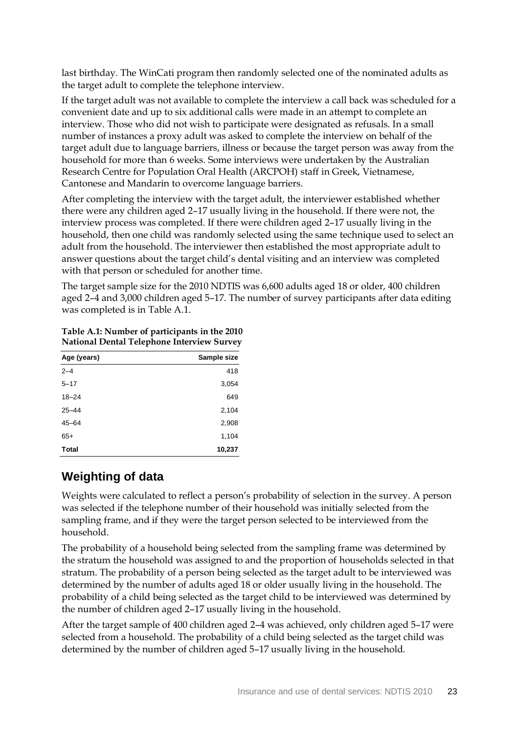last birthday. The WinCati program then randomly selected one of the nominated adults as the target adult to complete the telephone interview.

If the target adult was not available to complete the interview a call back was scheduled for a convenient date and up to six additional calls were made in an attempt to complete an interview. Those who did not wish to participate were designated as refusals. In a small number of instances a proxy adult was asked to complete the interview on behalf of the target adult due to language barriers, illness or because the target person was away from the household for more than 6 weeks. Some interviews were undertaken by the Australian Research Centre for Population Oral Health (ARCPOH) staff in Greek, Vietnamese, Cantonese and Mandarin to overcome language barriers.

After completing the interview with the target adult, the interviewer established whether there were any children aged 2–17 usually living in the household. If there were not, the interview process was completed. If there were children aged 2–17 usually living in the household, then one child was randomly selected using the same technique used to select an adult from the household. The interviewer then established the most appropriate adult to answer questions about the target child's dental visiting and an interview was completed with that person or scheduled for another time.

The target sample size for the 2010 NDTIS was 6,600 adults aged 18 or older, 400 children aged 2–4 and 3,000 children aged 5–17. The number of survey participants after data editing was completed is in [Table A.1.](#page-28-0)

<span id="page-28-0"></span>**Table A.1: Number of participants in the 2010 National Dental Telephone Interview Survey**

| Age (years)  | Sample size |
|--------------|-------------|
| $2 - 4$      | 418         |
| $5 - 17$     | 3,054       |
| $18 - 24$    | 649         |
| $25 - 44$    | 2,104       |
| $45 - 64$    | 2,908       |
| $65+$        | 1,104       |
| <b>Total</b> | 10,237      |

### **Weighting of data**

Weights were calculated to reflect a person's probability of selection in the survey. A person was selected if the telephone number of their household was initially selected from the sampling frame, and if they were the target person selected to be interviewed from the household.

The probability of a household being selected from the sampling frame was determined by the stratum the household was assigned to and the proportion of households selected in that stratum. The probability of a person being selected as the target adult to be interviewed was determined by the number of adults aged 18 or older usually living in the household. The probability of a child being selected as the target child to be interviewed was determined by the number of children aged 2–17 usually living in the household.

After the target sample of 400 children aged 2–4 was achieved, only children aged 5–17 were selected from a household. The probability of a child being selected as the target child was determined by the number of children aged 5–17 usually living in the household.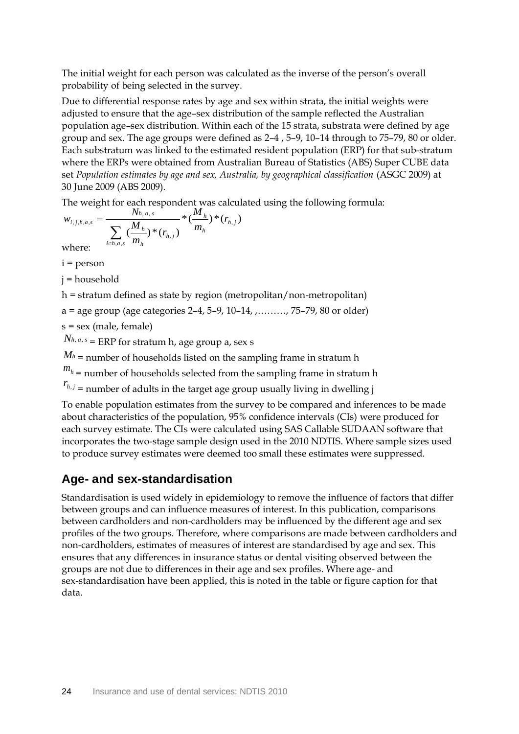The initial weight for each person was calculated as the inverse of the person's overall probability of being selected in the survey.

Due to differential response rates by age and sex within strata, the initial weights were adjusted to ensure that the age–sex distribution of the sample reflected the Australian population age–sex distribution. Within each of the 15 strata, substrata were defined by age group and sex. The age groups were defined as 2–4 , 5–9, 10–14 through to 75–79, 80 or older. Each substratum was linked to the estimated resident population (ERP) for that sub-stratum where the ERPs were obtained from Australian Bureau of Statistics (ABS) Super CUBE data set Population estimates by age and sex, Australia, by geographical classification (ASGC 2009) at 30 June 2009 (ABS 2009).

The weight for each respondent was calculated using the following formula:

$$
w_{i,j,h,a,s} = \frac{N_{h,a,s} - N_{h,a,s}}{\sum_{i \in h,a,s} (\frac{M_h}{m_h})^*(r_{h,j})^* (r_{h,j})^*}
$$
  
where:

i = person

j = household

h = stratum defined as state by region (metropolitan/non-metropolitan)

 $a = age$  group (age categories 2–4, 5–9, 10–14, ,........, 75–79, 80 or older)

s = sex (male, female)

*Nh*, *<sup>a</sup>*, *<sup>s</sup>* = ERP for stratum h, age group a, sex s

 $M_h$  = number of households listed on the sampling frame in stratum h

 $m_h$  = number of households selected from the sampling frame in stratum h

 $r_{h,j}$  = number of adults in the target age group usually living in dwelling j

To enable population estimates from the survey to be compared and inferences to be made about characteristics of the population, 95% confidence intervals (CIs) were produced for each survey estimate. The CIs were calculated using SAS Callable SUDAAN software that incorporates the two-stage sample design used in the 2010 NDTIS. Where sample sizes used to produce survey estimates were deemed too small these estimates were suppressed.

### **Age- and sex-standardisation**

Standardisation is used widely in epidemiology to remove the influence of factors that differ between groups and can influence measures of interest. In this publication, comparisons between cardholders and non-cardholders may be influenced by the different age and sex profiles of the two groups. Therefore, where comparisons are made between cardholders and non-cardholders, estimates of measures of interest are standardised by age and sex. This ensures that any differences in insurance status or dental visiting observed between the groups are not due to differences in their age and sex profiles. Where age- and sex-standardisation have been applied, this is noted in the table or figure caption for that data.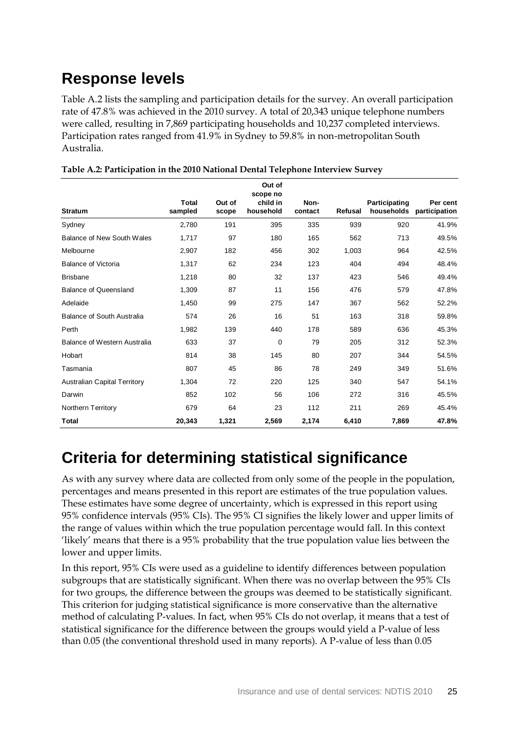### **Response levels**

[Table A.2](#page-30-0) lists the sampling and participation details for the survey. An overall participation rate of 47.8% was achieved in the 2010 survey. A total of 20,343 unique telephone numbers were called, resulting in 7,869 participating households and 10,237 completed interviews. Participation rates ranged from 41.9% in Sydney to 59.8% in non-metropolitan South Australia.

|                                     |                  |                 | Out of<br>scope no    |                 |         |               |                                      |
|-------------------------------------|------------------|-----------------|-----------------------|-----------------|---------|---------------|--------------------------------------|
| <b>Stratum</b>                      | Total<br>sampled | Out of<br>scope | child in<br>household | Non-<br>contact | Refusal | Participating | Per cent<br>households participation |
| Sydney                              | 2,780            | 191             | 395                   | 335             | 939     | 920           | 41.9%                                |
| Balance of New South Wales          | 1,717            | 97              | 180                   | 165             | 562     | 713           | 49.5%                                |
| Melbourne                           | 2,907            | 182             | 456                   | 302             | 1,003   | 964           | 42.5%                                |
| <b>Balance of Victoria</b>          | 1,317            | 62              | 234                   | 123             | 404     | 494           | 48.4%                                |
| <b>Brisbane</b>                     | 1,218            | 80              | 32                    | 137             | 423     | 546           | 49.4%                                |
| <b>Balance of Queensland</b>        | 1,309            | 87              | 11                    | 156             | 476     | 579           | 47.8%                                |
| Adelaide                            | 1,450            | 99              | 275                   | 147             | 367     | 562           | 52.2%                                |
| Balance of South Australia          | 574              | 26              | 16                    | 51              | 163     | 318           | 59.8%                                |
| Perth                               | 1,982            | 139             | 440                   | 178             | 589     | 636           | 45.3%                                |
| Balance of Western Australia        | 633              | 37              | 0                     | 79              | 205     | 312           | 52.3%                                |
| Hobart                              | 814              | 38              | 145                   | 80              | 207     | 344           | 54.5%                                |
| Tasmania                            | 807              | 45              | 86                    | 78              | 249     | 349           | 51.6%                                |
| <b>Australian Capital Territory</b> | 1,304            | 72              | 220                   | 125             | 340     | 547           | 54.1%                                |
| Darwin                              | 852              | 102             | 56                    | 106             | 272     | 316           | 45.5%                                |
| Northern Territory                  | 679              | 64              | 23                    | 112             | 211     | 269           | 45.4%                                |
| <b>Total</b>                        | 20,343           | 1,321           | 2,569                 | 2,174           | 6,410   | 7,869         | 47.8%                                |

<span id="page-30-0"></span>**Table A.2: Participation in the 2010 National Dental Telephone Interview Survey** 

### **Criteria for determining statistical significance**

As with any survey where data are collected from only some of the people in the population, percentages and means presented in this report are estimates of the true population values. These estimates have some degree of uncertainty, which is expressed in this report using 95% confidence intervals (95% CIs). The 95% CI signifies the likely lower and upper limits of the range of values within which the true population percentage would fall. In this context 'likely' means that there is a 95% probability that the true population value lies between the lower and upper limits.

In this report, 95% CIs were used as a guideline to identify differences between population subgroups that are statistically significant. When there was no overlap between the 95% CIs for two groups, the difference between the groups was deemed to be statistically significant. This criterion for judging statistical significance is more conservative than the alternative method of calculating P-values. In fact, when 95% CIs do not overlap, it means that a test of statistical significance for the difference between the groups would yield a P-value of less than 0.05 (the conventional threshold used in many reports). A P-value of less than 0.05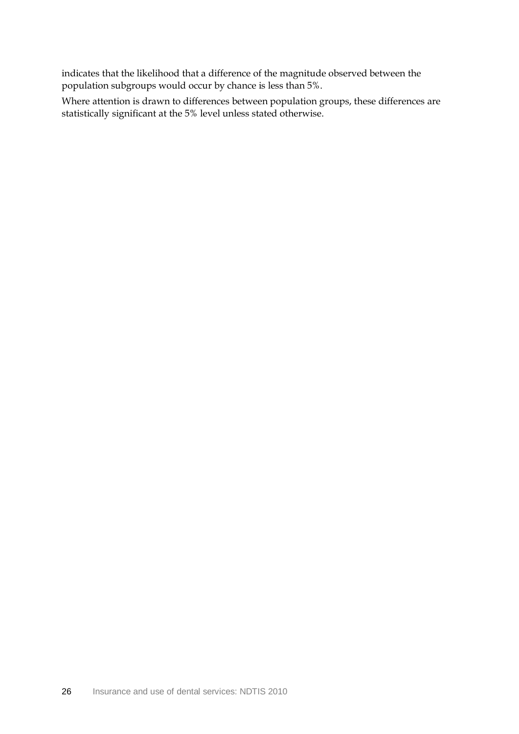indicates that the likelihood that a difference of the magnitude observed between the population subgroups would occur by chance is less than 5%.

Where attention is drawn to differences between population groups, these differences are statistically significant at the 5% level unless stated otherwise.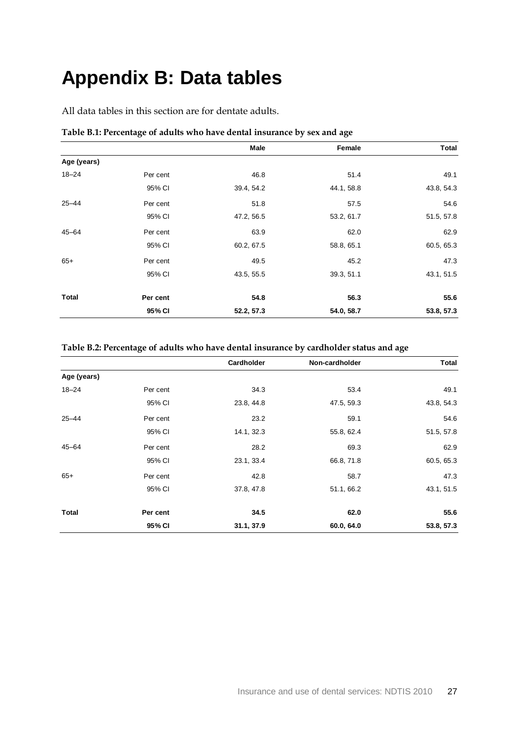## <span id="page-32-0"></span>**Appendix B: Data tables**

All data tables in this section are for dentate adults.

|              |          | Male       | Female     | Total      |
|--------------|----------|------------|------------|------------|
| Age (years)  |          |            |            |            |
| $18 - 24$    | Per cent | 46.8       | 51.4       | 49.1       |
|              | 95% CI   | 39.4, 54.2 | 44.1, 58.8 | 43.8, 54.3 |
| $25 - 44$    | Per cent | 51.8       | 57.5       | 54.6       |
|              | 95% CI   | 47.2, 56.5 | 53.2, 61.7 | 51.5, 57.8 |
| $45 - 64$    | Per cent | 63.9       | 62.0       | 62.9       |
|              | 95% CI   | 60.2, 67.5 | 58.8, 65.1 | 60.5, 65.3 |
| $65+$        | Per cent | 49.5       | 45.2       | 47.3       |
|              | 95% CI   | 43.5, 55.5 | 39.3, 51.1 | 43.1, 51.5 |
| <b>Total</b> | Per cent | 54.8       | 56.3       | 55.6       |
|              | 95% CI   | 52.2, 57.3 | 54.0, 58.7 | 53.8, 57.3 |

### <span id="page-32-1"></span>**Table B.1: Percentage of adults who have dental insurance by sex and age**

#### <span id="page-32-2"></span>**Table B.2: Percentage of adults who have dental insurance by cardholder status and age**

|             |          | <b>Cardholder</b> | Non-cardholder | <b>Total</b> |
|-------------|----------|-------------------|----------------|--------------|
| Age (years) |          |                   |                |              |
| $18 - 24$   | Per cent | 34.3              | 53.4           | 49.1         |
|             | 95% CI   | 23.8, 44.8        | 47.5, 59.3     | 43.8, 54.3   |
| $25 - 44$   | Per cent | 23.2              | 59.1           | 54.6         |
|             | 95% CI   | 14.1, 32.3        | 55.8, 62.4     | 51.5, 57.8   |
| $45 - 64$   | Per cent | 28.2              | 69.3           | 62.9         |
|             | 95% CI   | 23.1, 33.4        | 66.8, 71.8     | 60.5, 65.3   |
| $65+$       | Per cent | 42.8              | 58.7           | 47.3         |
|             | 95% CI   | 37.8, 47.8        | 51.1, 66.2     | 43.1, 51.5   |
| Total       | Per cent | 34.5              | 62.0           | 55.6         |
|             | 95% CI   | 31.1, 37.9        | 60.0, 64.0     | 53.8, 57.3   |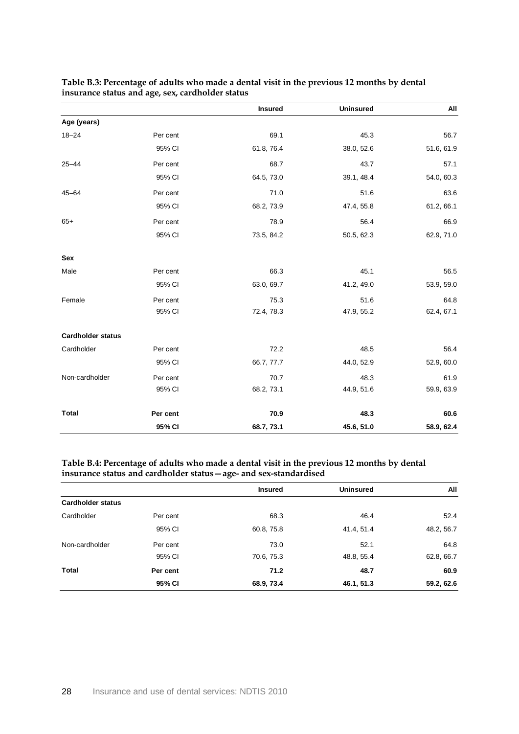|                          |          | <b>Insured</b> | <b>Uninsured</b> | All        |
|--------------------------|----------|----------------|------------------|------------|
| Age (years)              |          |                |                  |            |
| $18 - 24$                | Per cent | 69.1           | 45.3             | 56.7       |
|                          | 95% CI   | 61.8, 76.4     | 38.0, 52.6       | 51.6, 61.9 |
| $25 - 44$                | Per cent | 68.7           | 43.7             | 57.1       |
|                          | 95% CI   | 64.5, 73.0     | 39.1, 48.4       | 54.0, 60.3 |
| $45 - 64$                | Per cent | 71.0           | 51.6             | 63.6       |
|                          | 95% CI   | 68.2, 73.9     | 47.4, 55.8       | 61.2, 66.1 |
| $65+$                    | Per cent | 78.9           | 56.4             | 66.9       |
|                          | 95% CI   | 73.5, 84.2     | 50.5, 62.3       | 62.9, 71.0 |
| Sex                      |          |                |                  |            |
| Male                     | Per cent | 66.3           | 45.1             | 56.5       |
|                          | 95% CI   | 63.0, 69.7     | 41.2, 49.0       | 53.9, 59.0 |
| Female                   | Per cent | 75.3           | 51.6             | 64.8       |
|                          | 95% CI   | 72.4, 78.3     | 47.9, 55.2       | 62.4, 67.1 |
| <b>Cardholder status</b> |          |                |                  |            |
| Cardholder               | Per cent | 72.2           | 48.5             | 56.4       |
|                          | 95% CI   | 66.7, 77.7     | 44.0, 52.9       | 52.9, 60.0 |
| Non-cardholder           | Per cent | 70.7           | 48.3             | 61.9       |
|                          | 95% CI   | 68.2, 73.1     | 44.9, 51.6       | 59.9, 63.9 |
| <b>Total</b>             | Per cent | 70.9           | 48.3             | 60.6       |
|                          | 95% CI   | 68.7, 73.1     | 45.6, 51.0       | 58.9, 62.4 |

### <span id="page-33-0"></span>**Table B.3: Percentage of adults who made a dental visit in the previous 12 months by dental insurance status and age, sex, cardholder status**

#### <span id="page-33-1"></span>**Table B.4: Percentage of adults who made a dental visit in the previous 12 months by dental insurance status and cardholder status—age- and sex-standardised**

|                          |          | <b>Insured</b> | <b>Uninsured</b> | All        |
|--------------------------|----------|----------------|------------------|------------|
| <b>Cardholder status</b> |          |                |                  |            |
| Cardholder               | Per cent | 68.3           | 46.4             | 52.4       |
|                          | 95% CI   | 60.8, 75.8     | 41.4, 51.4       | 48.2, 56.7 |
| Non-cardholder           | Per cent | 73.0           | 52.1             | 64.8       |
|                          | 95% CI   | 70.6, 75.3     | 48.8, 55.4       | 62.8, 66.7 |
| Total                    | Per cent | 71.2           | 48.7             | 60.9       |
|                          | 95% CI   | 68.9, 73.4     | 46.1, 51.3       | 59.2, 62.6 |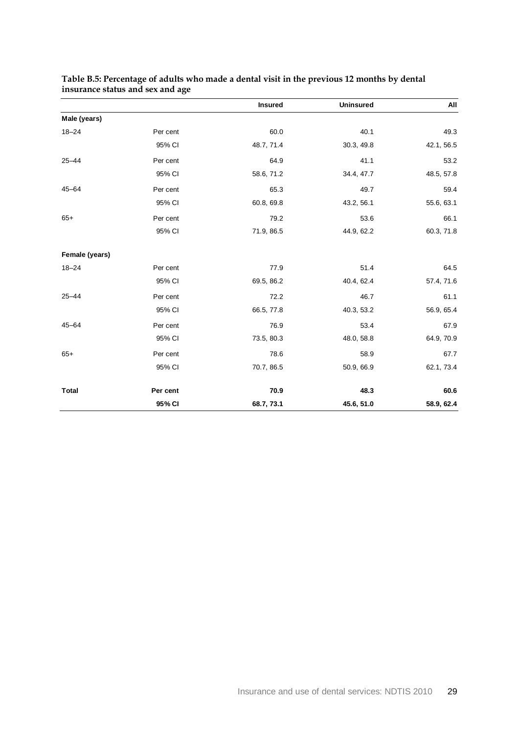|                |          | <b>Insured</b> | <b>Uninsured</b> | All        |
|----------------|----------|----------------|------------------|------------|
| Male (years)   |          |                |                  |            |
| $18 - 24$      | Per cent | 60.0           | 40.1             | 49.3       |
|                | 95% CI   | 48.7, 71.4     | 30.3, 49.8       | 42.1, 56.5 |
| $25 - 44$      | Per cent | 64.9           | 41.1             | 53.2       |
|                | 95% CI   | 58.6, 71.2     | 34.4, 47.7       | 48.5, 57.8 |
| $45 - 64$      | Per cent | 65.3           | 49.7             | 59.4       |
|                | 95% CI   | 60.8, 69.8     | 43.2, 56.1       | 55.6, 63.1 |
| $65+$          | Per cent | 79.2           | 53.6             | 66.1       |
|                | 95% CI   | 71.9, 86.5     | 44.9, 62.2       | 60.3, 71.8 |
| Female (years) |          |                |                  |            |
| $18 - 24$      | Per cent | 77.9           | 51.4             | 64.5       |
|                | 95% CI   | 69.5, 86.2     | 40.4, 62.4       | 57.4, 71.6 |
| $25 - 44$      | Per cent | 72.2           | 46.7             | 61.1       |
|                | 95% CI   | 66.5, 77.8     | 40.3, 53.2       | 56.9, 65.4 |
| $45 - 64$      | Per cent | 76.9           | 53.4             | 67.9       |
|                | 95% CI   | 73.5, 80.3     | 48.0, 58.8       | 64.9, 70.9 |
| $65+$          | Per cent | 78.6           | 58.9             | 67.7       |
|                | 95% CI   | 70.7, 86.5     | 50.9, 66.9       | 62.1, 73.4 |
| <b>Total</b>   | Per cent | 70.9           | 48.3             | 60.6       |
|                | 95% CI   | 68.7, 73.1     | 45.6, 51.0       | 58.9, 62.4 |

#### <span id="page-34-0"></span>**Table B.5: Percentage of adults who made a dental visit in the previous 12 months by dental insurance status and sex and age**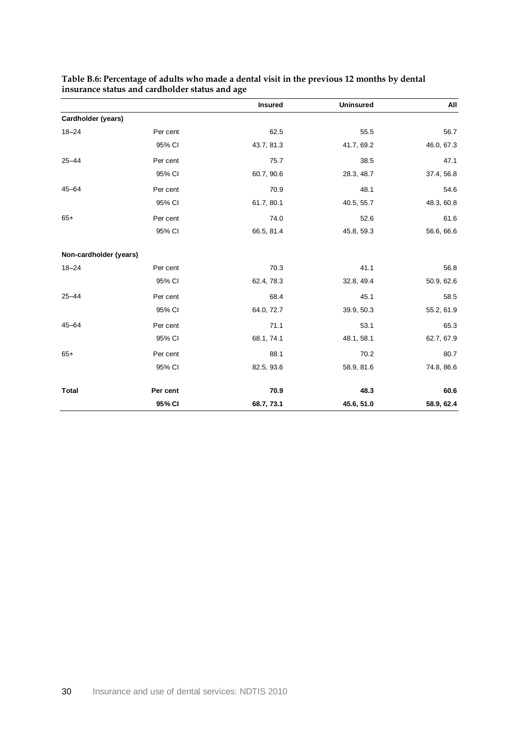|                        |          | <b>Insured</b> | <b>Uninsured</b> | All        |
|------------------------|----------|----------------|------------------|------------|
| Cardholder (years)     |          |                |                  |            |
| $18 - 24$              | Per cent | 62.5           | 55.5             | 56.7       |
|                        | 95% CI   | 43.7, 81.3     | 41.7, 69.2       | 46.0, 67.3 |
| $25 - 44$              | Per cent | 75.7           | 38.5             | 47.1       |
|                        | 95% CI   | 60.7, 90.6     | 28.3, 48.7       | 37.4, 56.8 |
| $45 - 64$              | Per cent | 70.9           | 48.1             | 54.6       |
|                        | 95% CI   | 61.7, 80.1     | 40.5, 55.7       | 48.3, 60.8 |
| $65+$                  | Per cent | 74.0           | 52.6             | 61.6       |
|                        | 95% CI   | 66.5, 81.4     | 45.8, 59.3       | 56.6, 66.6 |
| Non-cardholder (years) |          |                |                  |            |
| $18 - 24$              | Per cent | 70.3           | 41.1             | 56.8       |
|                        | 95% CI   | 62.4, 78.3     | 32.8, 49.4       | 50.9, 62.6 |
| $25 - 44$              | Per cent | 68.4           | 45.1             | 58.5       |
|                        | 95% CI   | 64.0, 72.7     | 39.9, 50.3       | 55.2, 61.9 |
| $45 - 64$              | Per cent | 71.1           | 53.1             | 65.3       |
|                        | 95% CI   | 68.1, 74.1     | 48.1, 58.1       | 62.7, 67.9 |
| $65+$                  | Per cent | 88.1           | 70.2             | 80.7       |
|                        | 95% CI   | 82.5, 93.6     | 58.9, 81.6       | 74.8, 86.6 |
| <b>Total</b>           | Per cent | 70.9           | 48.3             | 60.6       |
|                        | 95% CI   | 68.7, 73.1     | 45.6, 51.0       | 58.9, 62.4 |

#### <span id="page-35-0"></span>**Table B.6: Percentage of adults who made a dental visit in the previous 12 months by dental insurance status and cardholder status and age**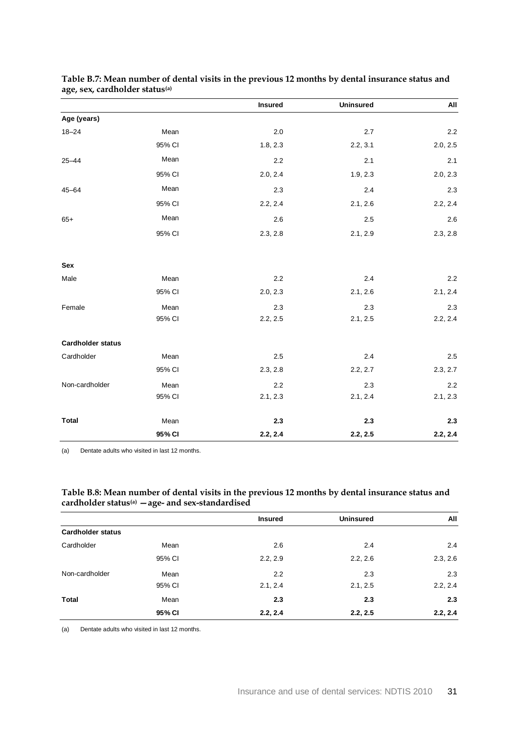|                          |        | <b>Insured</b> | <b>Uninsured</b> | All      |
|--------------------------|--------|----------------|------------------|----------|
| Age (years)              |        |                |                  |          |
| $18 - 24$                | Mean   | $2.0\,$        | $2.7\,$          | 2.2      |
|                          | 95% CI | 1.8, 2.3       | 2.2, 3.1         | 2.0, 2.5 |
| $25 - 44$                | Mean   | $2.2\,$        | 2.1              | 2.1      |
|                          | 95% CI | 2.0, 2.4       | 1.9, 2.3         | 2.0, 2.3 |
| $45 - 64$                | Mean   | 2.3            | 2.4              | 2.3      |
|                          | 95% CI | 2.2, 2.4       | 2.1, 2.6         | 2.2, 2.4 |
| $65+$                    | Mean   | 2.6            | 2.5              | 2.6      |
|                          | 95% CI | 2.3, 2.8       | 2.1, 2.9         | 2.3, 2.8 |
| Sex                      |        |                |                  |          |
| Male                     | Mean   | 2.2            | 2.4              | 2.2      |
|                          | 95% CI | 2.0, 2.3       | 2.1, 2.6         | 2.1, 2.4 |
| Female                   | Mean   | 2.3            | 2.3              | 2.3      |
|                          | 95% CI | 2.2, 2.5       | 2.1, 2.5         | 2.2, 2.4 |
| <b>Cardholder status</b> |        |                |                  |          |
| Cardholder               | Mean   | 2.5            | 2.4              | 2.5      |
|                          | 95% CI | 2.3, 2.8       | 2.2, 2.7         | 2.3, 2.7 |
| Non-cardholder           | Mean   | 2.2            | 2.3              | 2.2      |
|                          | 95% CI | 2.1, 2.3       | 2.1, 2.4         | 2.1, 2.3 |
| <b>Total</b>             | Mean   | 2.3            | 2.3              | 2.3      |
|                          | 95% CI | 2.2, 2.4       | 2.2, 2.5         | 2.2, 2.4 |

#### <span id="page-36-1"></span>**Table B.7: Mean number of dental visits in the previous 12 months by dental insurance status and age, sex, cardholder status(a)**

(a) Dentate adults who visited in last 12 months.

### <span id="page-36-0"></span>**Table B.8: Mean number of dental visits in the previous 12 months by dental insurance status and cardholder status(a) —age- and sex-standardised**

|                          |        | <b>Insured</b> | <b>Uninsured</b> | All      |
|--------------------------|--------|----------------|------------------|----------|
| <b>Cardholder status</b> |        |                |                  |          |
| Cardholder               | Mean   | 2.6            | 2.4              | 2.4      |
|                          | 95% CI | 2.2, 2.9       | 2.2, 2.6         | 2.3, 2.6 |
| Non-cardholder           | Mean   | 2.2            | 2.3              | 2.3      |
|                          | 95% CI | 2.1, 2.4       | 2.1, 2.5         | 2.2, 2.4 |
| <b>Total</b>             | Mean   | 2.3            | 2.3              | 2.3      |
|                          | 95% CI | 2.2, 2.4       | 2.2, 2.5         | 2.2, 2.4 |
|                          |        |                |                  |          |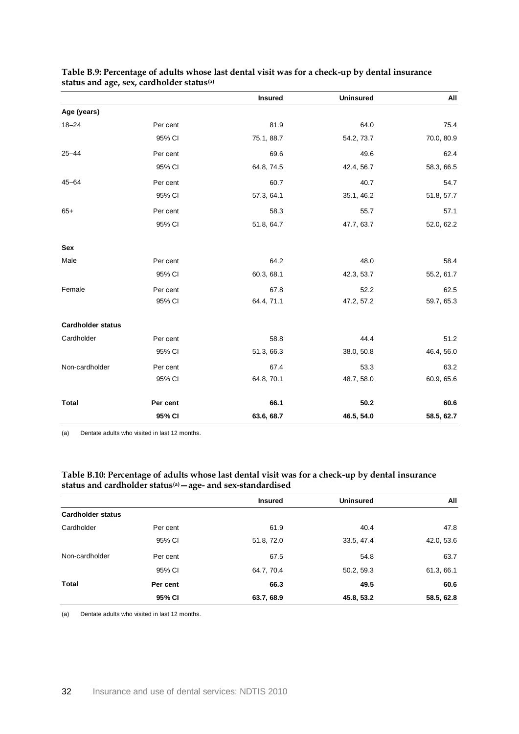|                          |          | <b>Insured</b> | <b>Uninsured</b> | All        |
|--------------------------|----------|----------------|------------------|------------|
| Age (years)              |          |                |                  |            |
| $18 - 24$                | Per cent | 81.9           | 64.0             | 75.4       |
|                          | 95% CI   | 75.1, 88.7     | 54.2, 73.7       | 70.0, 80.9 |
| $25 - 44$                | Per cent | 69.6           | 49.6             | 62.4       |
|                          | 95% CI   | 64.8, 74.5     | 42.4, 56.7       | 58.3, 66.5 |
| $45 - 64$                | Per cent | 60.7           | 40.7             | 54.7       |
|                          | 95% CI   | 57.3, 64.1     | 35.1, 46.2       | 51.8, 57.7 |
| $65+$                    | Per cent | 58.3           | 55.7             | 57.1       |
|                          | 95% CI   | 51.8, 64.7     | 47.7, 63.7       | 52.0, 62.2 |
| Sex                      |          |                |                  |            |
| Male                     | Per cent | 64.2           | 48.0             | 58.4       |
|                          | 95% CI   | 60.3, 68.1     | 42.3, 53.7       | 55.2, 61.7 |
| Female                   | Per cent | 67.8           | 52.2             | 62.5       |
|                          | 95% CI   | 64.4, 71.1     | 47.2, 57.2       | 59.7, 65.3 |
| <b>Cardholder status</b> |          |                |                  |            |
| Cardholder               | Per cent | 58.8           | 44.4             | 51.2       |
|                          | 95% CI   | 51.3, 66.3     | 38.0, 50.8       | 46.4, 56.0 |
| Non-cardholder           | Per cent | 67.4           | 53.3             | 63.2       |
|                          | 95% CI   | 64.8, 70.1     | 48.7, 58.0       | 60.9, 65.6 |
| <b>Total</b>             | Per cent | 66.1           | 50.2             | 60.6       |
|                          | 95% CI   | 63.6, 68.7     | 46.5, 54.0       | 58.5, 62.7 |

### <span id="page-37-1"></span>**Table B.9: Percentage of adults whose last dental visit was for a check-up by dental insurance status and age, sex, cardholder status(a)**

(a) Dentate adults who visited in last 12 months.

#### <span id="page-37-0"></span>**Table B.10: Percentage of adults whose last dental visit was for a check-up by dental insurance status and cardholder status(a)—age- and sex-standardised**

|                          |          | <b>Insured</b> | <b>Uninsured</b> | All        |
|--------------------------|----------|----------------|------------------|------------|
| <b>Cardholder status</b> |          |                |                  |            |
| Cardholder               | Per cent | 61.9           | 40.4             | 47.8       |
|                          | 95% CI   | 51.8, 72.0     | 33.5, 47.4       | 42.0, 53.6 |
| Non-cardholder           | Per cent | 67.5           | 54.8             | 63.7       |
|                          | 95% CI   | 64.7, 70.4     | 50.2, 59.3       | 61.3, 66.1 |
| Total                    | Per cent | 66.3           | 49.5             | 60.6       |
|                          | 95% CI   | 63.7, 68.9     | 45.8, 53.2       | 58.5, 62.8 |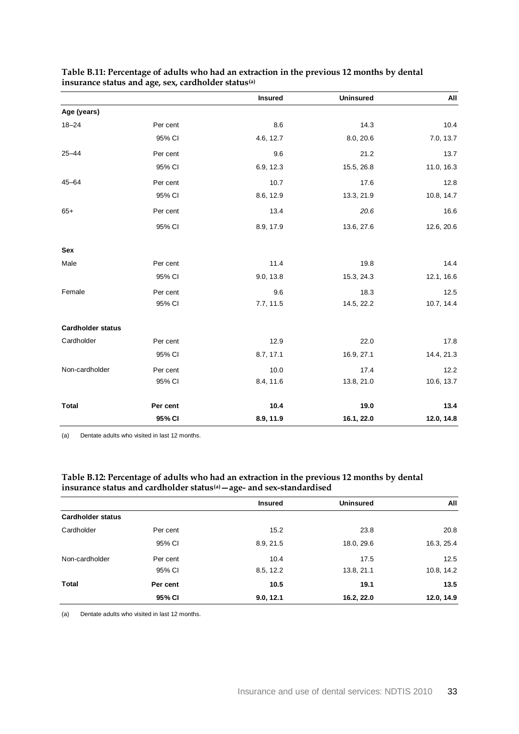|                          |          | <b>Insured</b> | <b>Uninsured</b> | All        |
|--------------------------|----------|----------------|------------------|------------|
| Age (years)              |          |                |                  |            |
| $18 - 24$                | Per cent | 8.6            | 14.3             | 10.4       |
|                          | 95% CI   | 4.6, 12.7      | 8.0, 20.6        | 7.0, 13.7  |
| $25 - 44$                | Per cent | 9.6            | 21.2             | 13.7       |
|                          | 95% CI   | 6.9, 12.3      | 15.5, 26.8       | 11.0, 16.3 |
| $45 - 64$                | Per cent | 10.7           | 17.6             | 12.8       |
|                          | 95% CI   | 8.6, 12.9      | 13.3, 21.9       | 10.8, 14.7 |
| $65+$                    | Per cent | 13.4           | 20.6             | 16.6       |
|                          | 95% CI   | 8.9, 17.9      | 13.6, 27.6       | 12.6, 20.6 |
| Sex                      |          |                |                  |            |
| Male                     | Per cent | 11.4           | 19.8             | 14.4       |
|                          | 95% CI   | 9.0, 13.8      | 15.3, 24.3       | 12.1, 16.6 |
| Female                   | Per cent | 9.6            | 18.3             | 12.5       |
|                          | 95% CI   | 7.7, 11.5      | 14.5, 22.2       | 10.7, 14.4 |
| <b>Cardholder status</b> |          |                |                  |            |
| Cardholder               | Per cent | 12.9           | 22.0             | 17.8       |
|                          | 95% CI   | 8.7, 17.1      | 16.9, 27.1       | 14.4, 21.3 |
| Non-cardholder           | Per cent | 10.0           | 17.4             | 12.2       |
|                          | 95% CI   | 8.4, 11.6      | 13.8, 21.0       | 10.6, 13.7 |
| <b>Total</b>             | Per cent | 10.4           | 19.0             | 13.4       |
|                          | 95% CI   | 8.9, 11.9      | 16.1, 22.0       | 12.0, 14.8 |

### <span id="page-38-0"></span>**Table B.11: Percentage of adults who had an extraction in the previous 12 months by dental insurance status and age, sex, cardholder status(a)**

(a) Dentate adults who visited in last 12 months.

### <span id="page-38-1"></span>**Table B.12: Percentage of adults who had an extraction in the previous 12 months by dental insurance status and cardholder status(a)—age- and sex-standardised**

|                          |          | <b>Insured</b> | <b>Uninsured</b> | All        |
|--------------------------|----------|----------------|------------------|------------|
| <b>Cardholder status</b> |          |                |                  |            |
| Cardholder               | Per cent | 15.2           | 23.8             | 20.8       |
|                          | 95% CI   | 8.9, 21.5      | 18.0, 29.6       | 16.3, 25.4 |
| Non-cardholder           | Per cent | 10.4           | 17.5             | 12.5       |
|                          | 95% CI   | 8.5, 12.2      | 13.8, 21.1       | 10.8, 14.2 |
| Total                    | Per cent | 10.5           | 19.1             | 13.5       |
|                          | 95% CI   | 9.0, 12.1      | 16.2, 22.0       | 12.0, 14.9 |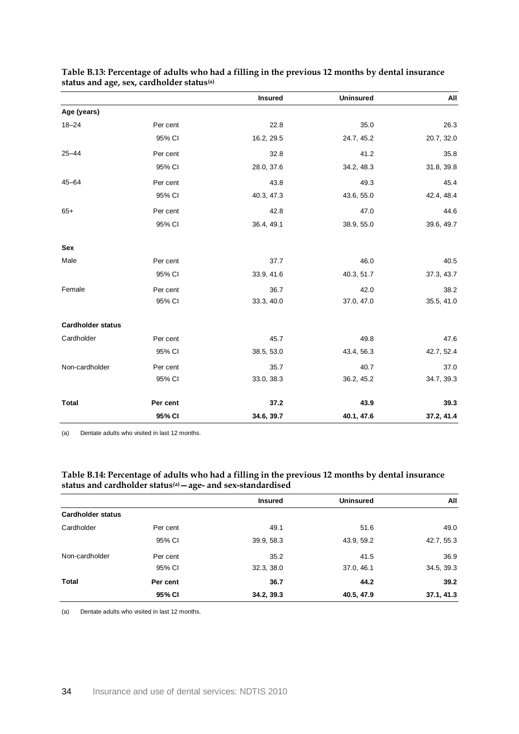|                          |          | <b>Insured</b> | <b>Uninsured</b> | All        |
|--------------------------|----------|----------------|------------------|------------|
| Age (years)              |          |                |                  |            |
| $18 - 24$                | Per cent | 22.8           | 35.0             | 26.3       |
|                          | 95% CI   | 16.2, 29.5     | 24.7, 45.2       | 20.7, 32.0 |
| $25 - 44$                | Per cent | 32.8           | 41.2             | 35.8       |
|                          | 95% CI   | 28.0, 37.6     | 34.2, 48.3       | 31.8, 39.8 |
| $45 - 64$                | Per cent | 43.8           | 49.3             | 45.4       |
|                          | 95% CI   | 40.3, 47.3     | 43.6, 55.0       | 42.4, 48.4 |
| $65+$                    | Per cent | 42.8           | 47.0             | 44.6       |
|                          | 95% CI   | 36.4, 49.1     | 38.9, 55.0       | 39.6, 49.7 |
| Sex                      |          |                |                  |            |
| Male                     | Per cent | 37.7           | 46.0             | 40.5       |
|                          | 95% CI   | 33.9, 41.6     | 40.3, 51.7       | 37.3, 43.7 |
| Female                   | Per cent | 36.7           | 42.0             | 38.2       |
|                          | 95% CI   | 33.3, 40.0     | 37.0, 47.0       | 35.5, 41.0 |
| <b>Cardholder status</b> |          |                |                  |            |
| Cardholder               | Per cent | 45.7           | 49.8             | 47.6       |
|                          | 95% CI   | 38.5, 53.0     | 43.4, 56.3       | 42.7, 52.4 |
| Non-cardholder           | Per cent | 35.7           | 40.7             | 37.0       |
|                          | 95% CI   | 33.0, 38.3     | 36.2, 45.2       | 34.7, 39.3 |
| <b>Total</b>             | Per cent | 37.2           | 43.9             | 39.3       |
|                          | 95% CI   | 34.6, 39.7     | 40.1, 47.6       | 37.2, 41.4 |

### <span id="page-39-0"></span>**Table B.13: Percentage of adults who had a filling in the previous 12 months by dental insurance status and age, sex, cardholder status(a)**

(a) Dentate adults who visited in last 12 months.

#### <span id="page-39-1"></span>**Table B.14: Percentage of adults who had a filling in the previous 12 months by dental insurance status and cardholder status(a)—age- and sex-standardised**

|                          |          | <b>Insured</b> | <b>Uninsured</b> | All        |
|--------------------------|----------|----------------|------------------|------------|
| <b>Cardholder status</b> |          |                |                  |            |
| Cardholder               | Per cent | 49.1           | 51.6             | 49.0       |
|                          | 95% CI   | 39.9, 58.3     | 43.9, 59.2       | 42.7, 55.3 |
| Non-cardholder           | Per cent | 35.2           | 41.5             | 36.9       |
|                          | 95% CI   | 32.3, 38.0     | 37.0, 46.1       | 34.5, 39.3 |
| Total                    | Per cent | 36.7           | 44.2             | 39.2       |
|                          | 95% CI   | 34.2, 39.3     | 40.5, 47.9       | 37.1, 41.3 |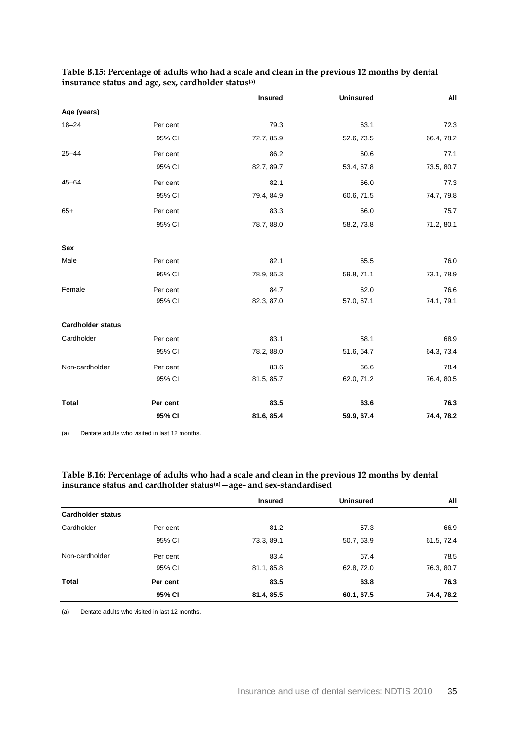|                          |          | <b>Insured</b> | <b>Uninsured</b> | All        |
|--------------------------|----------|----------------|------------------|------------|
| Age (years)              |          |                |                  |            |
| $18 - 24$                | Per cent | 79.3           | 63.1             | 72.3       |
|                          | 95% CI   | 72.7, 85.9     | 52.6, 73.5       | 66.4, 78.2 |
| $25 - 44$                | Per cent | 86.2           | 60.6             | 77.1       |
|                          | 95% CI   | 82.7, 89.7     | 53.4, 67.8       | 73.5, 80.7 |
| $45 - 64$                | Per cent | 82.1           | 66.0             | 77.3       |
|                          | 95% CI   | 79.4, 84.9     | 60.6, 71.5       | 74.7, 79.8 |
| $65+$                    | Per cent | 83.3           | 66.0             | 75.7       |
|                          | 95% CI   | 78.7, 88.0     | 58.2, 73.8       | 71.2, 80.1 |
| Sex                      |          |                |                  |            |
| Male                     | Per cent | 82.1           | 65.5             | 76.0       |
|                          | 95% CI   | 78.9, 85.3     | 59.8, 71.1       | 73.1, 78.9 |
| Female                   | Per cent | 84.7           | 62.0             | 76.6       |
|                          | 95% CI   | 82.3, 87.0     | 57.0, 67.1       | 74.1, 79.1 |
| <b>Cardholder status</b> |          |                |                  |            |
| Cardholder               | Per cent | 83.1           | 58.1             | 68.9       |
|                          | 95% CI   | 78.2, 88.0     | 51.6, 64.7       | 64.3, 73.4 |
| Non-cardholder           | Per cent | 83.6           | 66.6             | 78.4       |
|                          | 95% CI   | 81.5, 85.7     | 62.0, 71.2       | 76.4, 80.5 |
| <b>Total</b>             | Per cent | 83.5           | 63.6             | 76.3       |
|                          | 95% CI   | 81.6, 85.4     | 59.9, 67.4       | 74.4, 78.2 |

### <span id="page-40-0"></span>**Table B.15: Percentage of adults who had a scale and clean in the previous 12 months by dental insurance status and age, sex, cardholder status(a)**

(a) Dentate adults who visited in last 12 months.

#### <span id="page-40-1"></span>**Table B.16: Percentage of adults who had a scale and clean in the previous 12 months by dental insurance status and cardholder status(a)—age- and sex-standardised**

|                          |          | <b>Insured</b> | <b>Uninsured</b> | All        |
|--------------------------|----------|----------------|------------------|------------|
| <b>Cardholder status</b> |          |                |                  |            |
| Cardholder               | Per cent | 81.2           | 57.3             | 66.9       |
|                          | 95% CI   | 73.3, 89.1     | 50.7, 63.9       | 61.5, 72.4 |
| Non-cardholder           | Per cent | 83.4           | 67.4             | 78.5       |
|                          | 95% CI   | 81.1, 85.8     | 62.8, 72.0       | 76.3, 80.7 |
| Total                    | Per cent | 83.5           | 63.8             | 76.3       |
|                          | 95% CI   | 81.4, 85.5     | 60.1, 67.5       | 74.4, 78.2 |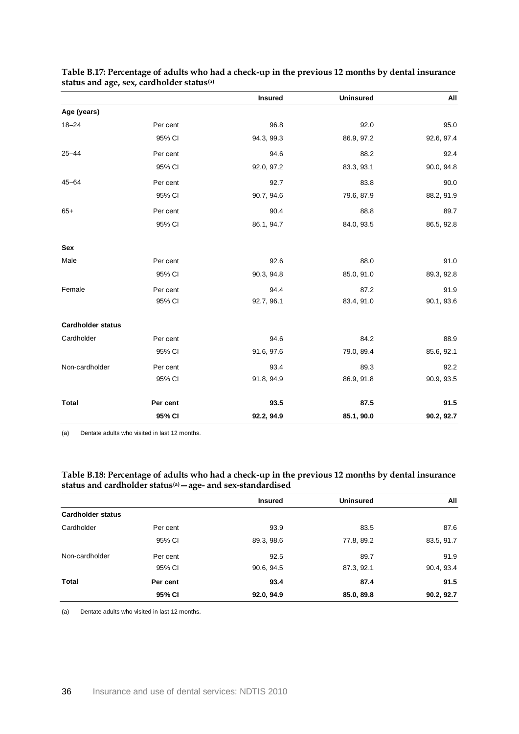|                          |          | <b>Insured</b> | <b>Uninsured</b> | All        |
|--------------------------|----------|----------------|------------------|------------|
| Age (years)              |          |                |                  |            |
| $18 - 24$                | Per cent | 96.8           | 92.0             | 95.0       |
|                          | 95% CI   | 94.3, 99.3     | 86.9, 97.2       | 92.6, 97.4 |
| $25 - 44$                | Per cent | 94.6           | 88.2             | 92.4       |
|                          | 95% CI   | 92.0, 97.2     | 83.3, 93.1       | 90.0, 94.8 |
| $45 - 64$                | Per cent | 92.7           | 83.8             | 90.0       |
|                          | 95% CI   | 90.7, 94.6     | 79.6, 87.9       | 88.2, 91.9 |
| $65+$                    | Per cent | 90.4           | 88.8             | 89.7       |
|                          | 95% CI   | 86.1, 94.7     | 84.0, 93.5       | 86.5, 92.8 |
| Sex                      |          |                |                  |            |
| Male                     | Per cent | 92.6           | 88.0             | 91.0       |
|                          | 95% CI   | 90.3, 94.8     | 85.0, 91.0       | 89.3, 92.8 |
| Female                   | Per cent | 94.4           | 87.2             | 91.9       |
|                          | 95% CI   | 92.7, 96.1     | 83.4, 91.0       | 90.1, 93.6 |
| <b>Cardholder status</b> |          |                |                  |            |
| Cardholder               | Per cent | 94.6           | 84.2             | 88.9       |
|                          | 95% CI   | 91.6, 97.6     | 79.0, 89.4       | 85.6, 92.1 |
| Non-cardholder           | Per cent | 93.4           | 89.3             | 92.2       |
|                          | 95% CI   | 91.8, 94.9     | 86.9, 91.8       | 90.9, 93.5 |
| <b>Total</b>             | Per cent | 93.5           | 87.5             | 91.5       |
|                          | 95% CI   | 92.2, 94.9     | 85.1, 90.0       | 90.2, 92.7 |

<span id="page-41-0"></span>**Table B.17: Percentage of adults who had a check-up in the previous 12 months by dental insurance status and age, sex, cardholder status(a)**

(a) Dentate adults who visited in last 12 months.

#### <span id="page-41-1"></span>**Table B.18: Percentage of adults who had a check-up in the previous 12 months by dental insurance status and cardholder status(a)—age- and sex-standardised**

|                          |          | <b>Insured</b> | <b>Uninsured</b> | All        |
|--------------------------|----------|----------------|------------------|------------|
| <b>Cardholder status</b> |          |                |                  |            |
| Cardholder               | Per cent | 93.9           | 83.5             | 87.6       |
|                          | 95% CI   | 89.3, 98.6     | 77.8, 89.2       | 83.5, 91.7 |
| Non-cardholder           | Per cent | 92.5           | 89.7             | 91.9       |
|                          | 95% CI   | 90.6, 94.5     | 87.3, 92.1       | 90.4, 93.4 |
| Total                    | Per cent | 93.4           | 87.4             | 91.5       |
|                          | 95% CI   | 92.0, 94.9     | 85.0, 89.8       | 90.2, 92.7 |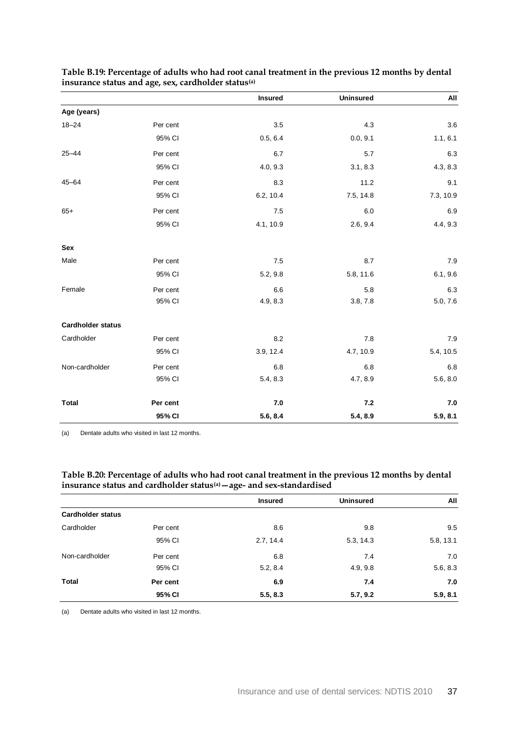|                          |          | <b>Insured</b> | <b>Uninsured</b> | All       |
|--------------------------|----------|----------------|------------------|-----------|
| Age (years)              |          |                |                  |           |
| $18 - 24$                | Per cent | 3.5            | 4.3              | 3.6       |
|                          | 95% CI   | 0.5, 6.4       | 0.0, 9.1         | 1.1, 6.1  |
| $25 - 44$                | Per cent | 6.7            | 5.7              | 6.3       |
|                          | 95% CI   | 4.0, 9.3       | 3.1, 8.3         | 4.3, 8.3  |
| $45 - 64$                | Per cent | 8.3            | 11.2             | 9.1       |
|                          | 95% CI   | 6.2, 10.4      | 7.5, 14.8        | 7.3, 10.9 |
| $65+$                    | Per cent | 7.5            | 6.0              | 6.9       |
|                          | 95% CI   | 4.1, 10.9      | 2.6, 9.4         | 4.4, 9.3  |
| Sex                      |          |                |                  |           |
| Male                     | Per cent | 7.5            | 8.7              | 7.9       |
|                          | 95% CI   | 5.2, 9.8       | 5.8, 11.6        | 6.1, 9.6  |
| Female                   | Per cent | 6.6            | 5.8              | 6.3       |
|                          | 95% CI   | 4.9, 8.3       | 3.8, 7.8         | 5.0, 7.6  |
| <b>Cardholder status</b> |          |                |                  |           |
| Cardholder               | Per cent | 8.2            | 7.8              | $7.9$     |
|                          | 95% CI   | 3.9, 12.4      | 4.7, 10.9        | 5.4, 10.5 |
| Non-cardholder           | Per cent | 6.8            | 6.8              | 6.8       |
|                          | 95% CI   | 5.4, 8.3       | 4.7, 8.9         | 5.6, 8.0  |
| <b>Total</b>             | Per cent | 7.0            | 7.2              | 7.0       |
|                          | 95% CI   | 5.6, 8.4       | 5.4, 8.9         | 5.9, 8.1  |

<span id="page-42-0"></span>**Table B.19: Percentage of adults who had root canal treatment in the previous 12 months by dental insurance status and age, sex, cardholder status(a)**

(a) Dentate adults who visited in last 12 months.

#### <span id="page-42-1"></span>**Table B.20: Percentage of adults who had root canal treatment in the previous 12 months by dental insurance status and cardholder status(a)—age- and sex-standardised**

|                          |          | <b>Insured</b> | <b>Uninsured</b> | All       |
|--------------------------|----------|----------------|------------------|-----------|
| <b>Cardholder status</b> |          |                |                  |           |
| Cardholder               | Per cent | 8.6            | 9.8              | 9.5       |
|                          | 95% CI   | 2.7, 14.4      | 5.3, 14.3        | 5.8, 13.1 |
| Non-cardholder           | Per cent | 6.8            | 7.4              | 7.0       |
|                          | 95% CI   | 5.2, 8.4       | 4.9, 9.8         | 5.6, 8.3  |
| <b>Total</b>             | Per cent | 6.9            | 7.4              | 7.0       |
|                          | 95% CI   | 5.5, 8.3       | 5.7, 9.2         | 5.9, 8.1  |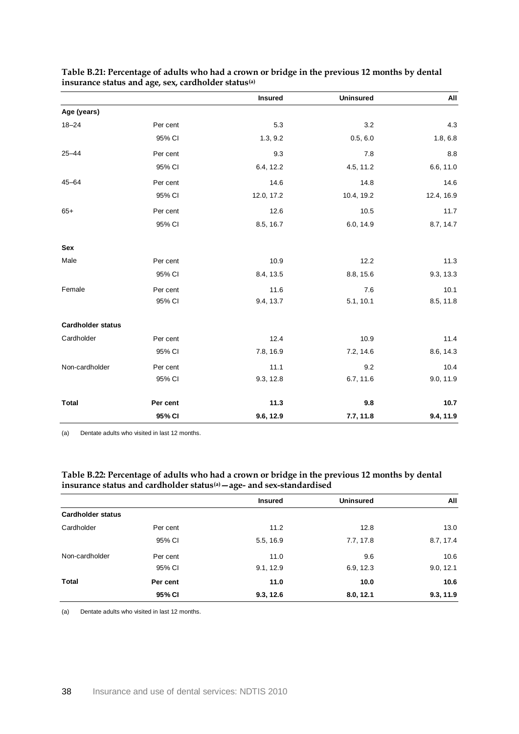|                          |          | <b>Insured</b> | <b>Uninsured</b> | All        |
|--------------------------|----------|----------------|------------------|------------|
| Age (years)              |          |                |                  |            |
| $18 - 24$                | Per cent | 5.3            | 3.2              | 4.3        |
|                          | 95% CI   | 1.3, 9.2       | 0.5, 6.0         | 1.8, 6.8   |
| $25 - 44$                | Per cent | 9.3            | 7.8              | 8.8        |
|                          | 95% CI   | 6.4, 12.2      | 4.5, 11.2        | 6.6, 11.0  |
| $45 - 64$                | Per cent | 14.6           | 14.8             | 14.6       |
|                          | 95% CI   | 12.0, 17.2     | 10.4, 19.2       | 12.4, 16.9 |
| $65+$                    | Per cent | 12.6           | 10.5             | 11.7       |
|                          | 95% CI   | 8.5, 16.7      | 6.0, 14.9        | 8.7, 14.7  |
| Sex                      |          |                |                  |            |
| Male                     | Per cent | 10.9           | 12.2             | 11.3       |
|                          | 95% CI   | 8.4, 13.5      | 8.8, 15.6        | 9.3, 13.3  |
| Female                   | Per cent | 11.6           | 7.6              | 10.1       |
|                          | 95% CI   | 9.4, 13.7      | 5.1, 10.1        | 8.5, 11.8  |
| <b>Cardholder status</b> |          |                |                  |            |
| Cardholder               | Per cent | 12.4           | 10.9             | 11.4       |
|                          | 95% CI   | 7.8, 16.9      | 7.2, 14.6        | 8.6, 14.3  |
| Non-cardholder           | Per cent | 11.1           | 9.2              | 10.4       |
|                          | 95% CI   | 9.3, 12.8      | 6.7, 11.6        | 9.0, 11.9  |
| <b>Total</b>             | Per cent | 11.3           | 9.8              | 10.7       |
|                          | 95% CI   | 9.6, 12.9      | 7.7, 11.8        | 9.4, 11.9  |

<span id="page-43-0"></span>

| Table B.21: Percentage of adults who had a crown or bridge in the previous 12 months by dental |  |
|------------------------------------------------------------------------------------------------|--|
| insurance status and age, sex, cardholder status <sup>(a)</sup>                                |  |

(a) Dentate adults who visited in last 12 months.

#### <span id="page-43-1"></span>**Table B.22: Percentage of adults who had a crown or bridge in the previous 12 months by dental insurance status and cardholder status(a)—age- and sex-standardised**

|                          |          | <b>Insured</b> | <b>Uninsured</b> | All       |
|--------------------------|----------|----------------|------------------|-----------|
| <b>Cardholder status</b> |          |                |                  |           |
| Cardholder               | Per cent | 11.2           | 12.8             | 13.0      |
|                          | 95% CI   | 5.5, 16.9      | 7.7, 17.8        | 8.7, 17.4 |
| Non-cardholder           | Per cent | 11.0           | 9.6              | 10.6      |
|                          | 95% CI   | 9.1, 12.9      | 6.9, 12.3        | 9.0, 12.1 |
| Total                    | Per cent | 11.0           | 10.0             | 10.6      |
|                          | 95% CI   | 9.3, 12.6      | 8.0, 12.1        | 9.3, 11.9 |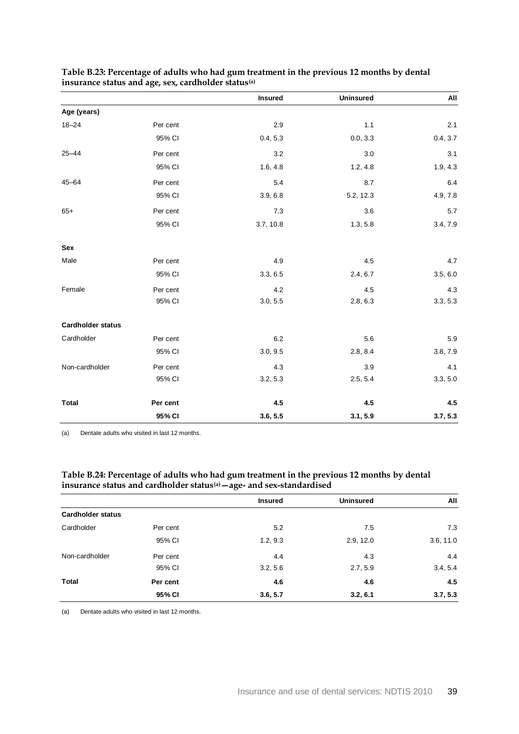|                          |          | <b>Insured</b> | <b>Uninsured</b> | All      |
|--------------------------|----------|----------------|------------------|----------|
| Age (years)              |          |                |                  |          |
| $18 - 24$                | Per cent | 2.9            | 1.1              | 2.1      |
|                          | 95% CI   | 0.4, 5.3       | 0.0, 3.3         | 0.4, 3.7 |
| $25 - 44$                | Per cent | 3.2            | 3.0              | 3.1      |
|                          | 95% CI   | 1.6, 4.8       | 1.2, 4.8         | 1.9, 4.3 |
| $45 - 64$                | Per cent | 5.4            | 8.7              | 6.4      |
|                          | 95% CI   | 3.9, 6.8       | 5.2, 12.3        | 4.9, 7.8 |
| $65+$                    | Per cent | 7.3            | 3.6              | 5.7      |
|                          | 95% CI   | 3.7, 10.8      | 1.3, 5.8         | 3.4, 7.9 |
| Sex                      |          |                |                  |          |
| Male                     | Per cent | 4.9            | 4.5              | 4.7      |
|                          | 95% CI   | 3.3, 6.5       | 2.4, 6.7         | 3.5, 6.0 |
| Female                   | Per cent | 4.2            | 4.5              | 4.3      |
|                          | 95% CI   | 3.0, 5.5       | 2.8, 6.3         | 3.3, 5.3 |
| <b>Cardholder status</b> |          |                |                  |          |
| Cardholder               | Per cent | 6.2            | 5.6              | 5.9      |
|                          | 95% CI   | 3.0, 9.5       | 2.8, 8.4         | 3.8, 7.9 |
| Non-cardholder           | Per cent | 4.3            | 3.9              | 4.1      |
|                          | 95% CI   | 3.2, 5.3       | 2.5, 5.4         | 3.3, 5.0 |
| <b>Total</b>             | Per cent | 4.5            | 4.5              | 4.5      |
|                          | 95% CI   | 3.6, 5.5       | 3.1, 5.9         | 3.7, 5.3 |

#### <span id="page-44-0"></span>**Table B.23: Percentage of adults who had gum treatment in the previous 12 months by dental insurance status and age, sex, cardholder status(a)**

(a) Dentate adults who visited in last 12 months.

#### <span id="page-44-1"></span>**Table B.24: Percentage of adults who had gum treatment in the previous 12 months by dental insurance status and cardholder status(a)—age- and sex-standardised**

|                          |          | <b>Insured</b> | <b>Uninsured</b> | All       |
|--------------------------|----------|----------------|------------------|-----------|
| <b>Cardholder status</b> |          |                |                  |           |
| Cardholder               | Per cent | 5.2            | 7.5              | 7.3       |
|                          | 95% CI   | 1.2, 9.3       | 2.9, 12.0        | 3.6, 11.0 |
| Non-cardholder           | Per cent | 4.4            | 4.3              | 4.4       |
|                          | 95% CI   | 3.2, 5.6       | 2.7, 5.9         | 3.4, 5.4  |
| Total                    | Per cent | 4.6            | 4.6              | 4.5       |
|                          | 95% CI   | 3.6, 5.7       | 3.2, 6.1         | 3.7, 5.3  |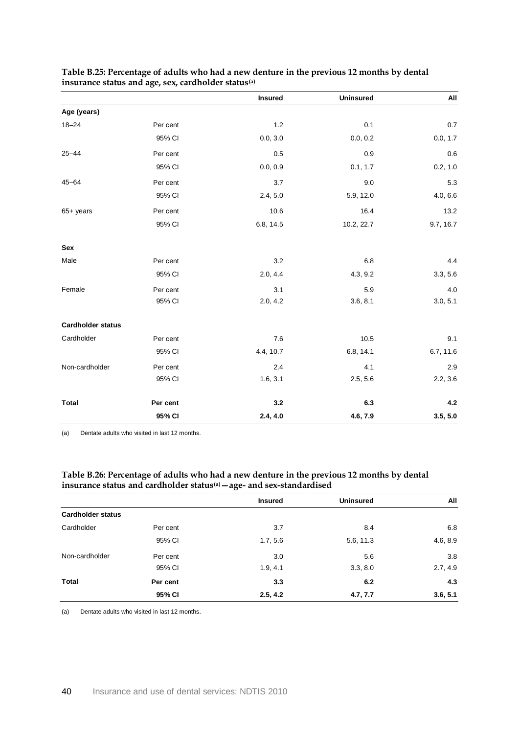|                          |          | <b>Insured</b> | <b>Uninsured</b> | All       |
|--------------------------|----------|----------------|------------------|-----------|
| Age (years)              |          |                |                  |           |
| $18 - 24$                | Per cent | 1.2            | 0.1              | 0.7       |
|                          | 95% CI   | 0.0, 3.0       | 0.0, 0.2         | 0.0, 1.7  |
| $25 - 44$                | Per cent | 0.5            | 0.9              | 0.6       |
|                          | 95% CI   | 0.0, 0.9       | 0.1, 1.7         | 0.2, 1.0  |
| $45 - 64$                | Per cent | 3.7            | 9.0              | 5.3       |
|                          | 95% CI   | 2.4, 5.0       | 5.9, 12.0        | 4.0, 6.6  |
| $65+$ years              | Per cent | 10.6           | 16.4             | 13.2      |
|                          | 95% CI   | 6.8, 14.5      | 10.2, 22.7       | 9.7, 16.7 |
| Sex                      |          |                |                  |           |
| Male                     | Per cent | 3.2            | 6.8              | 4.4       |
|                          | 95% CI   | 2.0, 4.4       | 4.3, 9.2         | 3.3, 5.6  |
| Female                   | Per cent | 3.1            | 5.9              | 4.0       |
|                          | 95% CI   | 2.0, 4.2       | 3.6, 8.1         | 3.0, 5.1  |
| <b>Cardholder status</b> |          |                |                  |           |
| Cardholder               | Per cent | 7.6            | 10.5             | 9.1       |
|                          | 95% CI   | 4.4, 10.7      | 6.8, 14.1        | 6.7, 11.6 |
| Non-cardholder           | Per cent | 2.4            | 4.1              | 2.9       |
|                          | 95% CI   | 1.6, 3.1       | 2.5, 5.6         | 2.2, 3.6  |
| <b>Total</b>             | Per cent | 3.2            | 6.3              | 4.2       |
|                          | 95% CI   | 2.4, 4.0       | 4.6, 7.9         | 3.5, 5.0  |

### <span id="page-45-0"></span>**Table B.25: Percentage of adults who had a new denture in the previous 12 months by dental insurance status and age, sex, cardholder status(a)**

(a) Dentate adults who visited in last 12 months.

#### <span id="page-45-1"></span>**Table B.26: Percentage of adults who had a new denture in the previous 12 months by dental insurance status and cardholder status(a)—age- and sex-standardised**

|                          |          | <b>Insured</b> | <b>Uninsured</b> | All      |
|--------------------------|----------|----------------|------------------|----------|
| <b>Cardholder status</b> |          |                |                  |          |
| Cardholder               | Per cent | 3.7            | 8.4              | 6.8      |
|                          | 95% CI   | 1.7, 5.6       | 5.6, 11.3        | 4.6, 8.9 |
| Non-cardholder           | Per cent | 3.0            | 5.6              | 3.8      |
|                          | 95% CI   | 1.9, 4.1       | 3.3, 8.0         | 2.7, 4.9 |
| <b>Total</b>             | Per cent | 3.3            | 6.2              | 4.3      |
|                          | 95% CI   | 2.5, 4.2       | 4.7, 7.7         | 3.6, 5.1 |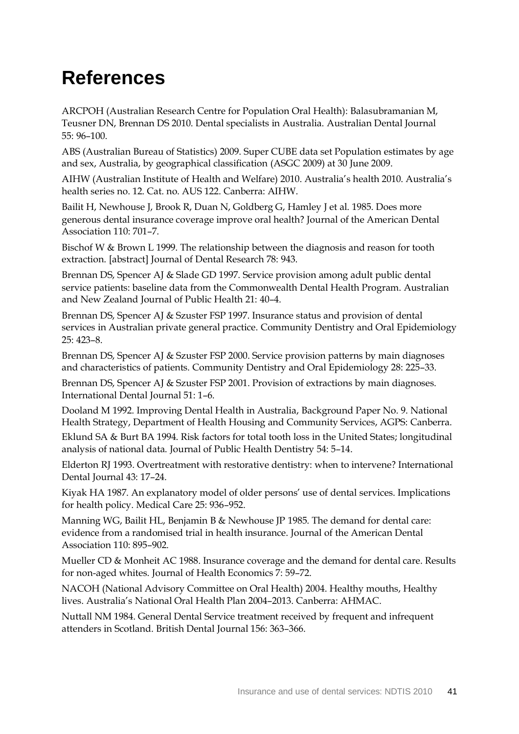## <span id="page-46-0"></span>**References**

ARCPOH (Australian Research Centre for Population Oral Health): Balasubramanian M, Teusner DN, Brennan DS 2010. Dental specialists in Australia. Australian Dental Journal 55: 96–100.

ABS (Australian Bureau of Statistics) 2009. Super CUBE data set Population estimates by age and sex, Australia, by geographical classification (ASGC 2009) at 30 June 2009.

AIHW (Australian Institute of Health and Welfare) 2010. Australia's health 2010. Australia's health series no. 12. Cat. no. AUS 122. Canberra: AIHW.

Bailit H, Newhouse J, Brook R, Duan N, Goldberg G, Hamley J et al. 1985. Does more generous dental insurance coverage improve oral health? Journal of the American Dental Association 110: 701–7.

Bischof W & Brown L 1999. The relationship between the diagnosis and reason for tooth extraction. [abstract] Journal of Dental Research 78: 943.

Brennan DS, Spencer AJ & Slade GD 1997. Service provision among adult public dental service patients: baseline data from the Commonwealth Dental Health Program. Australian and New Zealand Journal of Public Health 21: 40–4.

Brennan DS, Spencer AJ & Szuster FSP 1997. Insurance status and provision of dental services in Australian private general practice. Community Dentistry and Oral Epidemiology 25: 423–8.

Brennan DS, Spencer AJ & Szuster FSP 2000. Service provision patterns by main diagnoses and characteristics of patients. Community Dentistry and Oral Epidemiology 28: 225–33.

Brennan DS, Spencer AJ & Szuster FSP 2001. Provision of extractions by main diagnoses. International Dental Journal 51: 1–6.

Dooland M 1992. Improving Dental Health in Australia, Background Paper No. 9. National Health Strategy, Department of Health Housing and Community Services, AGPS: Canberra. Eklund SA & Burt BA 1994. Risk factors for total tooth loss in the United States; longitudinal analysis of national data. Journal of Public Health Dentistry 54: 5–14.

Elderton RJ 1993. Overtreatment with restorative dentistry: when to intervene? International Dental Journal 43: 17–24.

Kiyak HA 1987. An explanatory model of older persons' use of dental services. Implications for health policy. Medical Care 25: 936–952.

Manning WG, Bailit HL, Benjamin B & Newhouse JP 1985. The demand for dental care: evidence from a randomised trial in health insurance. Journal of the American Dental Association 110: 895–902.

Mueller CD & Monheit AC 1988. Insurance coverage and the demand for dental care. Results for non-aged whites. Journal of Health Economics 7: 59–72.

NACOH (National Advisory Committee on Oral Health) 2004. Healthy mouths, Healthy lives. Australia's National Oral Health Plan 2004–2013. Canberra: AHMAC.

Nuttall NM 1984. General Dental Service treatment received by frequent and infrequent attenders in Scotland. British Dental Journal 156: 363–366.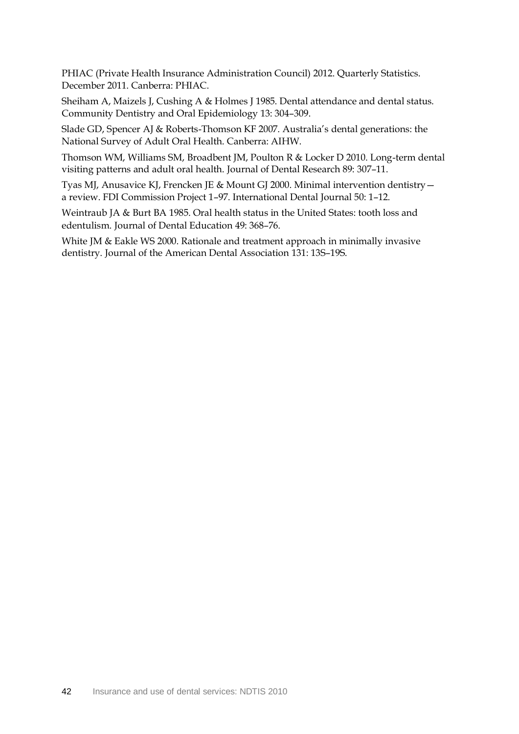PHIAC (Private Health Insurance Administration Council) 2012. Quarterly Statistics. December 2011. Canberra: PHIAC.

Sheiham A, Maizels J, Cushing A & Holmes J 1985. Dental attendance and dental status. Community Dentistry and Oral Epidemiology 13: 304–309.

Slade GD, Spencer AJ & Roberts-Thomson KF 2007. Australia's dental generations: the National Survey of Adult Oral Health. Canberra: AIHW.

Thomson WM, Williams SM, Broadbent JM, Poulton R & Locker D 2010. Long-term dental visiting patterns and adult oral health. Journal of Dental Research 89: 307–11.

Tyas MJ, Anusavice KJ, Frencken JE & Mount GJ 2000. Minimal intervention dentistry a review. FDI Commission Project 1–97. International Dental Journal 50: 1–12.

Weintraub JA & Burt BA 1985. Oral health status in the United States: tooth loss and edentulism. Journal of Dental Education 49: 368–76.

White JM & Eakle WS 2000. Rationale and treatment approach in minimally invasive dentistry. Journal of the American Dental Association 131: 13S–19S.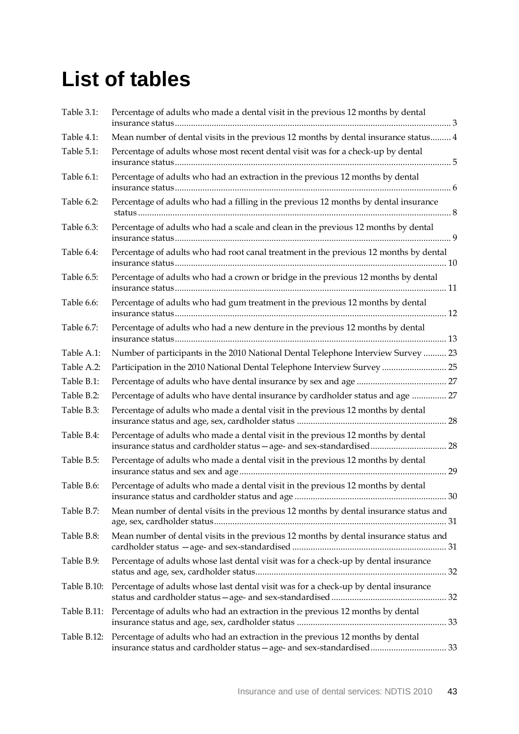# <span id="page-48-0"></span>**List of tables**

| Table 3.1:  | Percentage of adults who made a dental visit in the previous 12 months by dental                                                                             |
|-------------|--------------------------------------------------------------------------------------------------------------------------------------------------------------|
| Table 4.1:  | Mean number of dental visits in the previous 12 months by dental insurance status 4                                                                          |
| Table 5.1:  | Percentage of adults whose most recent dental visit was for a check-up by dental                                                                             |
| Table 6.1:  | Percentage of adults who had an extraction in the previous 12 months by dental                                                                               |
| Table 6.2:  | Percentage of adults who had a filling in the previous 12 months by dental insurance                                                                         |
| Table 6.3:  | Percentage of adults who had a scale and clean in the previous 12 months by dental                                                                           |
| Table 6.4:  | Percentage of adults who had root canal treatment in the previous 12 months by dental                                                                        |
| Table 6.5:  | Percentage of adults who had a crown or bridge in the previous 12 months by dental                                                                           |
| Table 6.6:  | Percentage of adults who had gum treatment in the previous 12 months by dental                                                                               |
| Table 6.7:  | Percentage of adults who had a new denture in the previous 12 months by dental                                                                               |
| Table A.1:  | Number of participants in the 2010 National Dental Telephone Interview Survey  23                                                                            |
| Table A.2:  | Participation in the 2010 National Dental Telephone Interview Survey  25                                                                                     |
| Table B.1:  |                                                                                                                                                              |
| Table B.2:  | Percentage of adults who have dental insurance by cardholder status and age  27                                                                              |
| Table B.3:  | Percentage of adults who made a dental visit in the previous 12 months by dental                                                                             |
| Table B.4:  | Percentage of adults who made a dental visit in the previous 12 months by dental<br>insurance status and cardholder status - age- and sex-standardised<br>28 |
| Table B.5:  | Percentage of adults who made a dental visit in the previous 12 months by dental                                                                             |
| Table B.6:  | Percentage of adults who made a dental visit in the previous 12 months by dental                                                                             |
| Table B.7:  | Mean number of dental visits in the previous 12 months by dental insurance status and                                                                        |
| Table B.8:  | Mean number of dental visits in the previous 12 months by dental insurance status and                                                                        |
| Table B.9:  | Percentage of adults whose last dental visit was for a check-up by dental insurance                                                                          |
| Table B.10: | Percentage of adults whose last dental visit was for a check-up by dental insurance                                                                          |
| Table B.11: | Percentage of adults who had an extraction in the previous 12 months by dental                                                                               |
| Table B.12: | Percentage of adults who had an extraction in the previous 12 months by dental<br>insurance status and cardholder status - age- and sex-standardised 33      |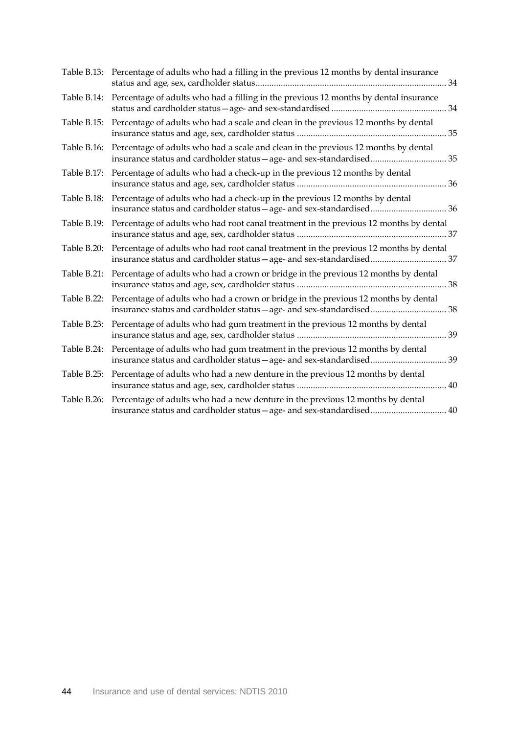| Table B.13: | Percentage of adults who had a filling in the previous 12 months by dental insurance                                                                           |
|-------------|----------------------------------------------------------------------------------------------------------------------------------------------------------------|
|             | Table B.14: Percentage of adults who had a filling in the previous 12 months by dental insurance                                                               |
| Table B.15: | Percentage of adults who had a scale and clean in the previous 12 months by dental                                                                             |
| Table B.16: | Percentage of adults who had a scale and clean in the previous 12 months by dental<br>insurance status and cardholder status - age- and sex-standardised 35    |
| Table B.17: | Percentage of adults who had a check-up in the previous 12 months by dental                                                                                    |
| Table B.18: | Percentage of adults who had a check-up in the previous 12 months by dental<br>insurance status and cardholder status - age- and sex-standardised 36           |
| Table B.19: | Percentage of adults who had root canal treatment in the previous 12 months by dental                                                                          |
| Table B.20: | Percentage of adults who had root canal treatment in the previous 12 months by dental<br>insurance status and cardholder status - age- and sex-standardised 37 |
| Table B.21: | Percentage of adults who had a crown or bridge in the previous 12 months by dental                                                                             |
| Table B.22: | Percentage of adults who had a crown or bridge in the previous 12 months by dental<br>insurance status and cardholder status - age- and sex-standardised 38    |
| Table B.23: | Percentage of adults who had gum treatment in the previous 12 months by dental                                                                                 |
| Table B.24: | Percentage of adults who had gum treatment in the previous 12 months by dental<br>insurance status and cardholder status - age- and sex-standardised 39        |
|             | Table B.25: Percentage of adults who had a new denture in the previous 12 months by dental                                                                     |
| Table B.26: | Percentage of adults who had a new denture in the previous 12 months by dental<br>insurance status and cardholder status - age- and sex-standardised 40        |